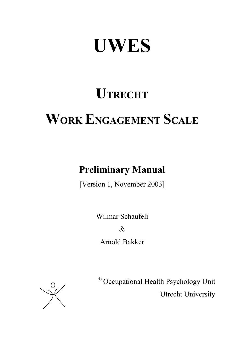# **UWES**

# **UTRECHT**

# **WORK ENGAGEMENT SCALE**

# **Preliminary Manual**

[Version 1, November 2003]

Wilmar Schaufeli

& Arnold Bakker



© Occupational Health Psychology Unit Utrecht University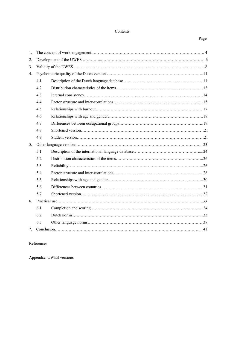# Contents

#### **Page**

| 1. |      |  |
|----|------|--|
| 2. |      |  |
| 3. |      |  |
| 4. |      |  |
|    | 4.1. |  |
|    | 4.2. |  |
|    | 4.3. |  |
|    | 4.4. |  |
|    | 4.5. |  |
|    | 4.6. |  |
|    | 4.7. |  |
|    | 4.8. |  |
|    | 4.9. |  |
|    |      |  |
| 5. |      |  |
|    | 5.1. |  |
|    | 5.2. |  |
|    | 5.3. |  |
|    | 5.4. |  |
|    | 5.5. |  |
|    | 5.6. |  |
|    | 5.7. |  |
| 6. |      |  |
|    | 6.1. |  |
|    | 6.2. |  |
|    | 6.3. |  |

# References

Appendix: UWES versions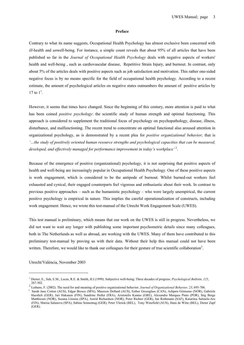#### **Preface**

Contrary to what its name suggests, Occupational Health Psychology has almost exclusive been concerned with *ill*-health and *un*well-being. For instance, a simple count reveals that about 95% of all articles that have been published so far in the *Journal of Occupational Health Psychology* deals with negative aspects of workers' health and well-being, such as cardiovascular disease, Repetitive Strain Injury, and burnout. In contrast, only about 5% of the articles deals with positive aspects such as job satisfaction and motivation. This rather one-sided negative focus is by no means specific for the field of occupational health psychology. According to a recent estimate, the amount of psychological articles on negative states outnumbers the amount of positive articles by 17 to  $1^1$ .

However, it seems that times have changed. Since the beginning of this century, more attention is paid to what has been coined *positive psychology*: the scientific study of human strength and optimal functioning. This approach is considered to supplement the traditional focus of psychology on psychopathology, disease, illness, disturbance, and malfunctioning. The recent trend to concentrate on optimal functional also aroused attention in organizational psychology, as is demonstrated by a recent plea for *positive organizational behavior*; that is *'…the study of positively oriented human resource strengths and psychological capacities that can be measured,*  developed, and effectively managed for performance improvement in today's workplace'<sup>2</sup>.

Because of the emergence of positive (organizational) psychology, it is not surprising that positive aspects of health and well-being are increasingly popular in Occupational Health Psychology. One of these positive aspects is work engagement, which is considered to be the antipode of burnout. Whilst burned-out workers feel exhausted and cynical, their engaged counterparts feel vigorous and enthusiastic about their work. In contrast to previous positive approaches – such as the humanistic psychology – who were largely unempirical, the current positive psychology is empirical in nature. This implies the careful operationalization of constructs, including work engagement. Hence, we wrote this test-manual of the Utrecht Work Engagement Scale (UWES).

This test manual is preliminary, which means that our work on the UWES is still in progress. Nevertheless, we did not want to wait any longer with publishing some important psychometric details since many colleagues, both in The Netherlands as well as abroad, are working with the UWES. Many of them have contributed to this preliminary test-manual by proving us with their data. Without their help this manual could not have been written. Therefore, we would like to thank our colleagues for their gesture of true scientific collaboration<sup>3</sup>.

Utrecht/Valéncia, November 2003

 $\overline{\phantom{a}}$ 

<sup>&</sup>lt;sup>1</sup> Diener, E., Suh, E.M., Lucas, R.E. & Smith, H.I (1999). Subjective well-being: Three decades of progress. *Psychological Bulletin, 125*, 267-302.

<sup>&</sup>lt;sup>2</sup> Luthans, F. (2002). The need for and meaning of positive organizational behavior. *Journal of Organizational Behavior*, 23, 695-706.  $\frac{3}{2}$  Sarah Jana Cetter (AUS). Edgar Brasse (SBA). Meyroon Dellard (AUS). Esther

<sup>&</sup>lt;sup>3</sup> Sarah Jane Cotton (AUS), Edgar Bresco (SPA), Maureen Dollard (AUS), Esther Greenglass (CAN), Asbjørn Grimsmo (NOR), Gabriele Haeslich (GER), Jari Hakanen (FIN), Sandrine Hollet (FRA), Aristotelis Kantas (GRE), Alexandra Marques Pinto (POR), Stig Berge Matthiesen (NOR), Susana Llorens (SPA), Astrid Richardsen (NOR), Peter Richter (GER), Ian Rothmann (SAF), Katariina Salmela-Aro (FIN), Marisa Salanova (SPA), Sabine Sonnentag (GER), Peter Vlerick (BEL), Tony Winefield (AUS), Hans de Witte (BEL), Dieter Zapf (GER).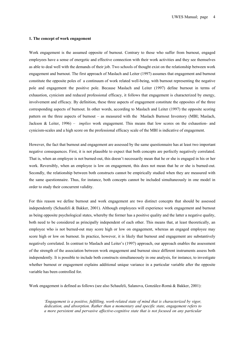#### **1. The concept of work engagement**

Work engagement is the assumed opposite of burnout. Contrary to those who suffer from burnout, engaged employees have a sense of energetic and effective connection with their work activities and they see themselves as able to deal well with the demands of their job. Two schools of thought exist on the relationship between work engagement and burnout. The first approach of Maslach and Leiter (1997) assumes that engagement and burnout constitute the opposite poles of a continuum of work related well-being, with burnout representing the negative pole and engagement the positive pole. Because Maslach and Leiter (1997) define burnout in terms of exhaustion, cynicism and reduced professional efficacy, it follows that engagement is characterized by energy, involvement and efficacy. By definition, these three aspects of engagement constitute the opposites of the three corresponding aspects of burnout. In other words, according to Maslach and Leiter (1997) the opposite scoring pattern on the three aspects of burnout – as measured with the Maslach Burnout Inventory (MBI; Maslach, Jackson & Leiter, 1996) – *implies* work engagement. This means that low scores on the exhaustion- and cynicism-scales and a high score on the professional efficacy scale of the MBI is indicative of engagement.

However, the fact that burnout and engagement are assessed by the same questionnaire has at least two important negative consequences. First, it is not plausible to expect that both concepts are perfectly negatively correlated. That is, when an employee is not burned-out, this doesn't necessarily mean that he or she is engaged in his or her work. Reversibly, when an employee is low on engagement, this does not mean that he or she is burned-out. Secondly, the relationship between both constructs cannot be empirically studied when they are measured with the same questionnaire. Thus, for instance, both concepts cannot be included simultaneously in one model in order to study their concurrent validity.

For this reason we define burnout and work engagement are two distinct concepts that should be assessed independently (Schaufeli & Bakker, 2001). Although employees will experience work engagement and burnout as being opposite psychological states, whereby the former has a positive quality and the latter a negative quality, both need to be considered as principally independent of each other. This means that, at least theoretically, an employee who is not burned-out may score high or low on engagement, whereas an engaged employee may score high or low on burnout. In practice, however, it is likely that burnout and engagement are substantively negatively correlated. In contrast to Maslach and Leiter's (1997) approach, our approach enables the assessment of the strength of the association between work engagement and burnout since different instruments assess both independently. It is possible to include both constructs simultaneously in one analysis, for instance, to investigate whether burnout or engagement explains additional unique variance in a particular variable after the opposite variable has been controlled for.

Work engagement is defined as follows (see also Schaufeli, Salanova, González-Romá & Bakker, 2001):

*'Engagement is a positive, fulfilling, work-related state of mind that is characterized by vigor, dedication, and absorption. Rather than a momentary and specific state, engagement refers to a more persistent and pervasive affective-cognitive state that is not focused on any particular*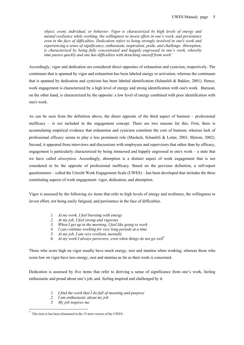*object, event, individual, or behavior. Vigor is characterized by high levels of energy and mental resilience while working, the willingness to invest effort in one's work, and persistence even in the face of difficulties. Dedication refers to being strongly involved in one's work and experiencing a sense of significance, enthusiasm, inspiration, pride, and challenge. Absorption, is characterized by being fully concentrated and happily engrossed in one's work, whereby time passes quickly and one has difficulties with detaching oneself from work'* 

Accordingly, vigor and dedication are considered direct opposites of exhaustion and cynicism, respectively. The continuum that is spanned by vigor and exhaustion has been labeled energy or activation, whereas the continuum that is spanned by dedication and cynicism has been labeled identification (Schaufeli & Bakker, 2001). Hence, work engagement is characterized by a high level of energy and strong identification with one's work. Burnout, on the other hand, is characterized by the opposite: a low level of energy combined with poor identification with one's work.

As can be seen from the definition above, the direct opposite of the third aspect of burnout – professional inefficacy – is *not* included in the engagement concept. There are two reasons for this. First, there is accumulating empirical evidence that exhaustion and cynicism constitute the core of burnout, whereas lack of professional efficacy seems to play a less prominent role (Maslach, Schaufeli & Leiter, 2001; Shirom, 2002). Second, it appeared from interviews and discussions with employees and supervisors that rather than by efficacy, engagement is particularly characterized by being immersed and happily engrossed in one's work – a state that we have called *absorption*. Accordingly, absorption is a distinct aspect of work engagement that is not considered to be the opposite of professional inefficacy. Based on the pervious definition, a self-report questionnaire – called the Utrecht Work Engagement Scale (UWES) – has been developed that includes the three constituting aspects of work engagement: vigor, dedication, and absorption.

Vigor is assessed by the following six items that refer to high levels of energy and resilience, the willingness to invest effort, not being easily fatigued, and persistence in the face of difficulties.

- *1. At my work, I feel bursting with energy*
- *2. At my job, I feel strong and vigorous*
- *3. When I get up in the morning, I feel like going to work*
- *4. I can continue working for very long periods at a time*
- *5. At my job, I am very resilient, mentally*
- 6. *At my work I always persevere, even when things do not go well*\*

Those who score high on vigor usually have much energy, zest and stamina when working, whereas those who score low on vigor have less energy, zest and stamina as far as their work is concerned.

Dedication is assessed by five items that refer to deriving a sense of significance from one's work, feeling enthusiastic and proud about one's job, and feeling inspired and challenged by it.

- *1. I find the work that I do full of meaning and purpose*
- *2. I am enthusiastic about my job*
- *3. My job inspires me*

-

<sup>\*</sup> This item is has been eliminated in the 15-item version of the UWES.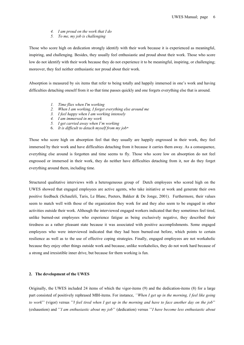- *4. I am proud on the work that I do*
- *5. To me, my job is challenging*

Those who score high on dedication strongly identify with their work because it is experienced as meaningful, inspiring, and challenging. Besides, they usually feel enthusiastic and proud about their work. Those who score low do not identify with their work because they do not experience it to be meaningful, inspiring, or challenging; moreover, they feel neither enthusiastic nor proud about their work.

Absorption is measured by six items that refer to being totally and happily immersed in one's work and having difficulties detaching oneself from it so that time passes quickly and one forgets everything else that is around.

- *1. Time flies when I'm working*
- *2. When I am working, I forget everything else around me*
- *3. I feel happy when I am working intensely*
- *4. I am immersed in my work*
- *5. I get carried away when I'm working*
- 6. *It is difficult to detach myself from my job\**

Those who score high on absorption feel that they usually are happily engrossed in their work, they feel immersed by their work and have difficulties detaching from it because it carries them away. As a consequence, everything else around is forgotten and time seems to fly. Those who score low on absorption do not feel engrossed or immersed in their work, they do neither have difficulties detaching from it, nor do they forget everything around them, including time.

Structured qualitative interviews with a heterogeneous group of Dutch employees who scored high on the UWES showed that engaged employees are active agents, who take initiative at work and generate their own positive feedback (Schaufeli, Taris, Le Blanc, Peeters, Bakker & De Jonge, 2001). Furthermore, their values seem to match well with those of the organization they work for and they also seem to be engaged in other activities outside their work. Although the interviewed engaged workers indicated that they sometimes feel tired, unlike burned-out employees who experience fatigue as being exclusively negative, they described their tiredness as a rather pleasant state because it was associated with positive accomplishments. Some engaged employees who were interviewed indicated that they had been burned-out before, which points to certain resilience as well as to the use of effective coping strategies. Finally, engaged employees are not workaholic because they enjoy other things outside work and because, unlike workaholics, they do not work hard because of a strong and irresistible inner drive, but because for them working is fun.

#### **2. The development of the UWES**

Originally, the UWES included 24 items of which the vigor-items (9) and the dedication-items (8) for a large part consisted of positively rephrased MBI-items. For instance, *''When I get up in the morning, I feel like going to work*'' (vigor) versus ''*I feel tired when I get up in the morning and have to face another day on the job*'' (exhaustion) and ''*I am enthusiastic about my job*'' (dedication) versus ''*I have become less enthusiastic about*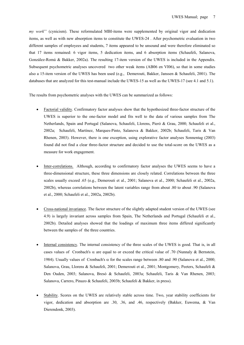*my work*'' (cynicism). These reformulated MBI-items were supplemented by original vigor and dedication items, as well as with new absorption items to constitute the UWES-24 . After psychometric evaluation in two different samples of employees and students, 7 items appeared to be unsound and were therefore eliminated so that 17 items remained: 6 vigor items, 5 dedication items, and 6 absorption items (Schaufeli, Salanova, González-Romá & Bakker, 2002a). The resulting 17-item version of the UWES is included in the Appendix. Subsequent psychometric analyses uncovered two other weak items (AB06 en VI06), so that in some studies also a 15-item version of the UWES has been used (e.g., Demerouti, Bakker, Janssen & Schaufeli, 2001). The databases that are analyzed for this test-manual include the UWES-15 as well as the UWES-17 (see 4.1 and 5.1).

The results from psychometric analyses with the UWES can be summarized as follows:

- Factorial validity. Confirmatory factor analyses show that the hypothesized three-factor structure of the UWES is superior to the one-factor model and fits well to the data of various samples from The Netherlands, Spain and Portugal (Salanova, Schaufeli, Llorens, Pieró & Grau, 2000; Schaufeli et al., 2002a; Schaufeli, Martínez, Marques-Pinto, Salanova & Bakker, 2002b; Schaufeli, Taris & Van Rhenen, 2003). However, there is one exception, using explorative factor analyses Sonnentag (2003) found did not find a clear three-factor structure and decided to use the total-score on the UWES as a measure for work engagement.
- Inter-correlations. Although, according to confirmatory factor analyses the UWES seems to have a three-dimensional structure, these three dimensions are closely related. Correlations between the three scales usually exceed .65 (e.g., Demerouti et al., 2001; Salanova et al., 2000; Schaufeli et al., 2002a, 2002b), whereas correlations between the latent variables range from about .80 to about .90 (Salanova et al., 2000; Schaufeli et al., 2002a, 2002b).
- Cross-national invariance. The factor structure of the slightly adapted student version of the UWES (see 4.9) is largely invariant across samples from Spain, The Netherlands and Portugal (Schaufeli et al., 2002b). Detailed analyses showed that the loadings of maximum three items differed significantly between the samples of the three countries.
- Internal consistency. The internal consistency of the three scales of the UWES is good. That is, in all cases values of Cronbach's α are equal to or exceed the critical value of .70 (Nunnaly & Bernstein, 1984). Usually values of Cronbach's  $\alpha$  for the scales range between .80 and .90 (Salanova et al., 2000; Salanova, Grau, Llorens & Schaufeli, 2001; Demerouti et al., 2001; Montgomery, Peeters, Schaufeli & Den Ouden, 2003; Salanova, Bresó & Schaufeli, 2003a; Schaufeli, Taris & Van Rhenen, 2003; Salanova, Carrero, Pinazo & Schaufeli, 2003b; Schaufeli & Bakker, in press).
- Stability. Scores on the UWES are relatively stable across time. Two, year stability coefficients for vigor, dedication and absorption are .30, .36, and .46, respectively (Bakker, Euwema, & Van Dierendonk, 2003).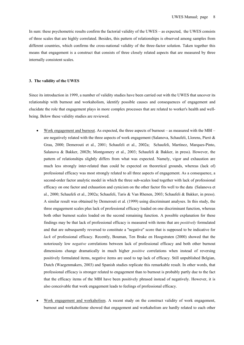In sum: these psychometric results confirm the factorial validity of the UWES – as expected, the UWES consists of three scales that are highly correlated. Besides, this pattern of relationships is observed among samples from different countries, which confirms the cross-national validity of the three-factor solution. Taken together this means that engagement is a construct that consists of three closely related aspects that are measured by three internally consistent scales.

#### **3. The validity of the UWES**

Since its introduction in 1999, a number of validity studies have been carried out with the UWES that uncover its relationship with burnout and workaholism, identify possible causes and consequences of engagement and elucidate the role that engagement plays in more complex processes that are related to worker's health and wellbeing. Below these validity studies are reviewed.

- Work engagement and burnout. As expected, the three aspects of burnout as measured with the MBI are negatively related with the three aspects of work engagement (Salanova, Schaufeli, Llorens, Pieró & Grau, 2000; Demerouti et al., 2001; Schaufeli et al., 2002a; Schaufeli, Martínez, Marques-Pinto, Salanova & Bakker, 2002b; Montgomery et al., 2003; Schaufeli & Bakker, in press). However, the pattern of relationships slightly differs from what was expected. Namely, vigor and exhaustion are much less strongly inter-related than could be expected on theoretical grounds, whereas (lack of) professional efficacy was most strongly related to all three aspects of engagement. As a consequence, a second-order factor analytic model in which the three sub-scales load together with lack of professional efficacy on one factor and exhaustion and cynicism on the other factor fits well to the data (Salanova et al., 2000; Schaufeli et al., 2002a; Schaufeli, Taris & Van Rhenen, 2003; Schaufeli & Bakker, in press). A similar result was obtained by Demerouti et al. (1999) using discriminant analyses. In this study, the three engagement scales plus lack of professional efficacy loaded on one discriminant function, whereas both other burnout scales loaded on the second remaining function. A possible explanation for these findings may be that lack of professional efficacy is measured with items that are *positively* formulated and that are subsequently reversed to constitute a ''negative'' score that is supposed to be indicative for *lack* of professional efficacy. Recently, Bouman, Ten Brake en Hoogstraten (2000) showed that the notoriously low *negative* correlations between lack of professional efficacy and both other burnout dimensions change dramatically in much higher *positive* correlations when instead of reversing positively formulated items, negative items are used to tap lack of efficacy. Still unpublished Belgian, Dutch (Waegenmakers, 2003) and Spanish studies replicate this remarkable result. In other words, that professional efficacy is stronger related to engagement than to burnout is probably partly due to the fact that the efficacy items of the MBI have been positively phrased instead of negatively. However, it is also conceivable that work engagement leads to feelings of professional efficacy.
- Work engagement and workaholism. A recent study on the construct validity of work engagement, burnout and workaholisme showed that engagement and workaholism are hardly related to each other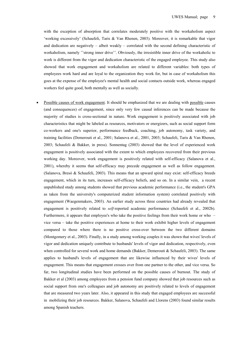with the exception of absorption that correlates moderately positive with the workaholism aspect 'working excessively' (Schaufeli, Taris & Van Rhenen, 2003). Moreover, it is remarkable that vigor and dedication are negatively – albeit weakly – correlated with the second defining characteristic of workaholism, namely ''strong inner drive''. Obviously, the irresistible inner drive of the workaholic to work is different from the vigor and dedication characteristic of the engaged employee. This study also showed that work engagement and workaholism are related to different variables: both types of employees work hard and are loyal to the organization they work for, but in case of workaholism this goes at the expense of the employee's mental health and social contacts outside work, whereas engaged workers feel quite good, both mentally as well as socially.

Possible causes of work engagement. It should be emphasized that we are dealing with possible causes (and consequences) of engagement, since only very few causal inferences can be made because the majority of studies is cross-sectional in nature. Work engagement is positively associated with job characteristics that might be labeled as resources, motivators or energizers, such as social support form co-workers and one's superior, performance feedback, coaching, job autonomy, task variety, and training facilities (Demerouti et al., 2001; Salanova et al., 2001, 2003; Schaufeli, Taris & Van Rhenen, 2003; Schaufeli & Bakker, in press). Sonnentag (2003) showed that the level of experienced work engagement is positively associated with the extent to which employees recovered from their previous working day. Moreover, work engagement is positively related with self-efficacy (Salanova et al., 2001), whereby it seems that self-efficacy may precede engagement as well as follow engagement. (Salanova, Bresó & Schaufeli, 2003). This means that an upward spiral may exist: self-efficacy breeds engagement, which in its turn, increases self-efficacy beliefs, and so on. In a similar vein, a recent unpublished study among students showed that previous academic performance (i.e., the student's GPA as taken from the university's computerized student information system) correlated positively with engagement (Waegenmakers, 2003). An earlier study across three countries had already revealed that engagement is positively related to *self-*reported academic performance (Schaufeli et al., 2002b). Furthermore, it appears that employee's who take the positive feelings from their work home or who – vice versa – take the positive experiences at home to their work exhibit higher levels of engagement compared to those where there is no positive cross-over between the two different domains (Montgomery et al., 2003). Finally, in a study among working couples it was shown that wives' levels of vigor and dedication uniquely contribute to husbands' levels of vigor and dedication, respectively, even when controlled for several work and home demands (Bakker, Demerouti & Schaufeli, 2003). The same applies to husband's levels of engagement that are likewise influenced by their wives' levels of engagement. This means that engagement crosses over from one partner to the other, and vice versa. So far, two longitudinal studies have been performed on the possible causes of burnout. The study of Bakker et al (2003) among employees from a pension fund company showed that job resources such as social support from one's colleagues and job autonomy are positively related to levels of engagement that are measured two years later. Also, it appeared in this study that engaged employees are successful in mobilizing their job resources. Bakker, Salanova, Schaufeli and Llorens (2003) found similar results among Spanish teachers.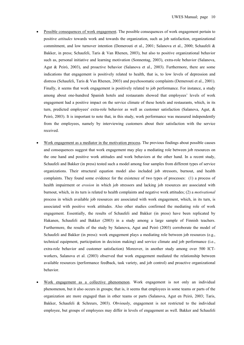- Possible consequences of work engagement. The possible consequences of work engagement pertain to positive *attitudes* towards work and towards the organization, such as job satisfaction, organizational commitment, and low turnover intention (Demerouti et al., 2001; Salanova et al., 2000; Schaufeli & Bakker, in press; Schaufeli, Taris & Van Rhenen, 2003), but also to positive organizational behavior such as, personal initiative and learning motivation (Sonnentag, 2003), extra-role behavior (Salanova, Agut & Peiró, 2003), and proactive behavior (Salanova et al., 2003). Furthermore, there are some indications that engagement is positively related to health, that is, to low levels of depression and distress (Schaufeli, Taris & Van Rhenen, 2003) and psychosomatic complaints (Demerouti et al., 2001). Finally, it seems that work engagement is positively related to job performance. For instance, a study among about one-hundred Spanish hotels and restaurants showed that employees' levels of work engagement had a positive impact on the service climate of these hotels and restaurants, which, in its turn, predicted employees' extra-role behavior as well as customer satisfaction (Salanova, Agut, & Peiró, 2003). It is important to note that, in this study, work performance was measured independently from the employees, namely by interviewing customers about their satisfaction with the service received.
- Work engagement as a mediator in the motivation process. The previous findings about possible causes and consequences suggest that work engagement may play a mediating role between job resources on the one hand and positive work attitudes and work behaviors at the other hand. In a recent study, Schaufeli and Bakker (in press) tested such a model among four samples from different types of service organizations. Their structural equation model also included job stressors, burnout, and health complaints. They found some evidence for the existence of two types of processes: (1) a process of health impairment or *erosion* in which job stressors and lacking job resources are associated with burnout, which, in its turn is related to health complaints and negative work attitudes; (2) a *motivational* process in which available job resources are associated with work engagement, which, in its turn, is associated with positive work attitudes. Also other studies confirmed the mediating role of work engagement. Essentially, the results of Schaufeli and Bakker (in press) have been replicated by Hakanen, Schaufeli and Bakker (2003) in a study among a large sample of Finnish teachers. Furthermore, the results of the study by Salanova, Agut and Peiró (2003) corroborate the model of Schaufeli and Bakker (in press): work engagement plays a mediating role between job resources (e.g., technical equipment, participation in decision making) and service climate and job performance (i.e., extra-role behavior and customer satisfaction) Moreover, in another study among over 500 ICTworkers, Salanova et al. (2003) observed that work engagement mediated the relationship between available resources (performance feedback, task variety, and job control) and proactive organizational behavior.
- Work engagement as a collective phenomenon. Work engagement is not only an individual phenomenon, but it also occurs in groups; that is, it seems that employees in some teams or parts of the organization are more engaged than in other teams or parts (Salanova, Agut en Peiró, 2003; Taris, Bakker, Schaufeli & Schreurs, 2003). Obviously, engagement is not restricted to the individual employee, but groups of employees may differ in levels of engagement as well. Bakker and Schaufeli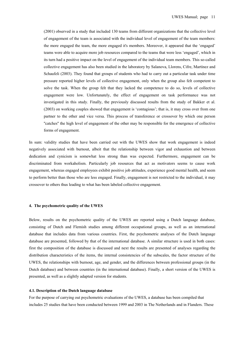(2001) observed in a study that included 130 teams from different organizations that the collective level of engagement of the team is associated with the individual level of engagement of the team members: the more engaged the team, the more engaged it's members. Moreover, it appeared that the 'engaged' teams were able to acquire more job resources compared to the teams that were less 'engaged', which in its turn had a positive impact on the level of engagement of the individual team members. This so-called collective engagement has also been studied in the laboratory by Salanova, Llorens, Cifre, Martínez and Schaufeli (2003). They found that groups of students who had to carry out a particular task under time pressure reported higher levels of collective engagement, only when the group also felt competent to solve the task. When the group felt that they lacked the competence to do so, levels of collective engagement were low. Unfortunately, the effect of engagement on task performance was not investigated in this study. Finally, the previously discussed results from the study of Bakker et al. (2003) on working couples showed that engagement is 'contagious'; that is, it may cross over from one partner to the other and vice versa. This process of transference or crossover by which one person ''catches'' the high level of engagement of the other may be responsible for the emergence of collective forms of engagement.

In sum: validity studies that have been carried out with the UWES show that work engagement is indeed negatively associated with burnout, albeit that the relationship between vigor and exhaustion and between dedication and cynicism is somewhat less strong than was expected. Furthermore, engagement can be discriminated from workaholism. Particularly job resources that act as motivators seems to cause work engagement, whereas engaged employees exhibit positive job attitudes, experience good mental health, and seem to perform better than those who are less engaged. Finally, engagement is not restricted to the individual, it may crossover to others thus leading to what has been labeled collective engagement.

#### **4. The psychometric quality of the UWES**

Below, results on the psychometric quality of the UWES are reported using a Dutch language database, consisting of Dutch and Flemish studies among different occupational groups, as well as an international database that includes data from various countries. First, the psychometric analyses of the Dutch language database are presented, followed by that of the international database. A similar structure is used in both cases: first the composition of the database is discussed and next the results are presented of analyses regarding the distribution characteristics of the items, the internal consistencies of the subscales, the factor structure of the UWES, the relationships with burnout, age, and gender, and the differences between professional groups (in the Dutch database) and between countries (in the international database). Finally, a short version of the UWES is presented, as well as a slightly adapted version for students.

#### **4.1. Description of the Dutch language database**

For the purpose of carrying out psychometric evaluations of the UWES, a database has been compiled that includes 25 studies that have been conducted between 1999 and 2003 in The Netherlands and in Flanders. These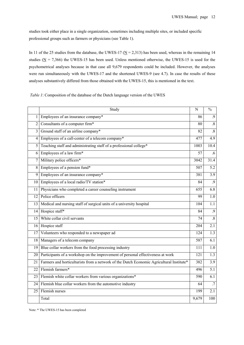studies took either place in a single organization, sometimes including multiple sites, or included specific professional groups such as farmers or physicians (see Table 1).

In 11 of the 25 studies from the database, the UWES-17 ( $\underline{N} = 2,313$ ) has been used, whereas in the remaining 14 studies ( $\underline{N}$  = 7,366) the UWES-15 has been used. Unless mentioned otherwise, the UWES-15 is used for the psychometrical analyses because in that case all 9,679 respondents could be included. However, the analyses were run simultaneously with the UWES-17 and the shortened UWES-9 (see 4.7). In case the results of these analyses substantively differed from those obtained with the UWES-15, this is mentioned in the text.

*Table 1*: Composition of the database of the Dutch language version of the UWES

|                | Study                                                                                    | N     | $\overline{\frac{0}{0}}$ |
|----------------|------------------------------------------------------------------------------------------|-------|--------------------------|
| 1              | Employees of an insurance company*                                                       | 86    | .9                       |
| 2              | Consultants of a computer firm*                                                          | 80    | $\overline{.8}$          |
| 3 <sup>1</sup> | Ground staff of an airline company*                                                      | 82    | $\overline{.8}$          |
| 4              | Employees of a call-center of a telecom company*                                         | 477   | $\overline{4.9}$         |
| 5              | Teaching staff and administrating staff of a professional college*                       | 1003  | 10.4                     |
| <sup>6</sup>   | Employees of a law firm*                                                                 | 57    | .6                       |
| 7 <sup>1</sup> | Military police officers*                                                                | 3042  | 31.4                     |
| 8              | Employees of a pension fund*                                                             | 507   | $\overline{5.2}$         |
| 9              | Employees of an insurance company*                                                       | 381   | $\overline{3.9}$         |
| 10             | Employees of a local radio/TV station*                                                   | 84    | $\overline{.9}$          |
| 11 I           | Physicians who completed a career counseling instrument                                  | 655   | 6.8                      |
| 12             | Police officers                                                                          | 99    | 1.0                      |
| 13             | Medical and nursing staff of surgical units of a university hospital                     | 104   | 1.1                      |
| 14             | Hospice staff*                                                                           | 84    | .9                       |
| 15             | White collar civil servants                                                              | 74    | $\overline{.8}$          |
|                | 16 Hospice staff                                                                         | 204   | 2.1                      |
| 17             | Volunteers who responded to a newspaper ad                                               | 124   | 1.3                      |
| 18             | Managers of a telecom company                                                            | 587   | $\overline{6.1}$         |
|                | 19 Blue collar workers from the food processing industry                                 | 111   | 1.0                      |
| 20             | Participants of a workshop on the improvement of personal effectiveness at work          | 121   | $\overline{1.3}$         |
| 21             | Farmers and horticulturists from a network of the Dutch Economic Agricultural Institute* | 382   | 3.9                      |
| 22             | Flemish farmers*                                                                         | 496   | $\overline{5.1}$         |
|                | 23 Flemish white collar workers from various organizations*                              | 590   | 6.1                      |
|                | 24 Flemish blue collar workers from the automotive industry                              | 64    | .7                       |
| 25             | Flemish nurses                                                                           | 199   | $\overline{2.1}$         |
|                | Total                                                                                    | 9,679 | 100                      |

Note: \* The UWES-15 has been completed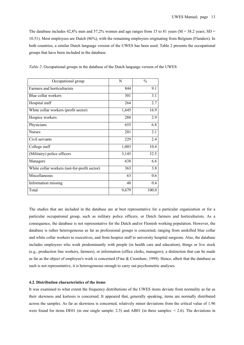The database includes  $42,8\%$  men and  $57,2\%$  women and age ranges from 15 to 81 years (M = 38.2 years; SD = 10.51). Most employees are Dutch (86%), with the remaining employees originating from Belgium (Flanders). In both countries, a similar Dutch language version of the UWES has been used. Table 2 presents the occupational groups that have been included in the database.

| Occupational group                           | N     | $\frac{0}{0}$ |
|----------------------------------------------|-------|---------------|
| Farmers and horticulturists                  | 844   | 9.1           |
| Blue collar workers                          | 301   | 3.1           |
| Hospital staff                               | 264   | 2.7           |
| White collar workers (profit sector)         | 1,645 | 16.9          |
| Hospice workers                              | 288   | 2.9           |
| Physicians                                   | 655   | 6.8           |
| <b>Nurses</b>                                | 201   | 2.1           |
| Civil servants                               | 229   | 2.4           |
| College staff                                | 1,003 | 10.4          |
| (Militairy) police officers                  | 3,145 | 32.5          |
| Managers                                     | 638   | 6.6           |
| White collar workers (not-for-profit sector) | 363   | 3.8           |
| Miscellaneous                                | 63    | 0.6           |
| Information missing                          | 48    | 0.4           |
| Total                                        | 9,679 | 100.0         |

*Table 2*: Occupational groups in the database of the Dutch language version of the UWES

The studies that are included in the database are at best representative for a particular organization or for a particular occupational group, such as military police officers, or Dutch farmers and horticulturists. As a consequence, the database is not representative for the Dutch and/or Flemish working population. However, the database is rather heterogeneous as far as professional groups is concerned, ranging from unskilled blue collar and white collar workers to executives, and from hospice staff to university hospital surgeons. Also, the database includes employees who work predominantly with people (in health care and education), things or live stock (e.g., production line workers, farmers), or information (office clerks, managers); a distinction that can be made as far as the object of employee's work is concerned (Fine & Cronshaw, 1999). Hence, albeit that the database as such is not representative, it is heterogeneous enough to carry out psychometric analyses.

#### **4.2. Distribution characteristics of the items**

It was examined to what extent the frequency distributions of the UWES items deviate from normality as far as their skewness and kurtosis is concerned. It appeared that, generally speaking, items are normally distributed across the samples. As far as skewness is concerned, relatively minor deviations from the critical value of 1.96 were found for items DE01 (in one single sample: 2.5) and AB01 (in three samples:  $\leq$  2.6). The deviations in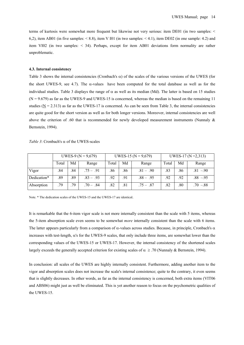terms of kurtosis were somewhat more frequent but likewise not very serious: item DE01 (in two samples: < 6,2), item AB01 (in five samples:  $\le 8.8$ ), item V I01 (in two samples:  $\le 4.1$ ), item DE02 (in one sample: 4.2) and item VI02 (in two samples: < 34). Perhaps, except for item AB01 deviations form normality are rather unproblematic.

#### **4.3. Internal consistency**

Table 3 shows the internal consistencies (Cronbach's  $\alpha$ ) of the scales of the various versions of the UWES (for the short UWES-9, see 4.7). The  $\alpha$ -values have been computed for the total database as well as for the individual studies. Table 3 displays the range of  $\alpha$  as well as its median (Md). The latter is based on 15 studies  $(N = 9.679)$  as far as the UWES-9 and UWES-15 is concerned, whereas the median is based on the remaining 11 studies ( $N = 2.313$ ) as far as the UWES-17 is concerned. As can be seen from Table 3, the internal consistencies are quite good for the short version as well as for both longer versions. Moreover, internal consistencies are well above the criterion of .60 that is recommended for newly developed measurement instruments (Nunnaly & Bernstein, 1994).

|             | UWES-9 ( $N = 9,679$ ) |     |             |       |     | UWES-15 ( $N = 9,679$ ) | UWES-17 ( $N = 2,313$ ) |     |             |
|-------------|------------------------|-----|-------------|-------|-----|-------------------------|-------------------------|-----|-------------|
|             | Total                  | Md  | Range       | Total | Md  | Range                   | Total                   | Md  | Range       |
| Vigor       | .84                    | .84 | $.75 - .91$ | .86   | .86 | $.81 - .90$             | .83                     | .86 | $.81 - .90$ |
| Dedication* | .89                    | .89 | $.83 - .93$ | .92   | .91 | $.88 - .95$             | .92                     | .92 | $.88 - .95$ |
| Absorption  | 79                     | .79 | $.70 - .84$ | .82   | .81 | $.75 - .87$             | .82                     | .80 | $.70 - 88$  |

Note. \* The dedication scales of the UWES-15 and the UWES-17 are identical.

It is remarkable that the 6-item vigor scale is not more internally consistent than the scale with 5 items, whereas the 5-item absorption scale even seems to be somewhat *more* internally consistent than the scale with 6 items. The latter appears particularly from a comparison of  $\alpha$ -values across studies. Because, in principle, Cronbach's  $\alpha$ increases with test-length,  $\alpha$ 's for the UWES-9 scales, that only include three items, are somewhat lower than the corresponding values of the UWES-15 or UWES-17. However, the internal consistency of the shortened scales largely exceeds the generally accepted criterion for existing scales of  $\alpha \geq .70$  (Nunnaly & Bernstein, 1994).

In conclusion: all scales of the UWES are highly internally consistent. Furthermore, adding another item to the vigor and absorption scales does not increase the scale's internal consistence; quite to the contrary, it even seems that is slightly decreases. In other words, as far as the internal consistency is concerned, both extra items (VIT06 and ABS06) might just as well be eliminated. This is yet another reason to focus on the psychometric qualities of the UWES-15.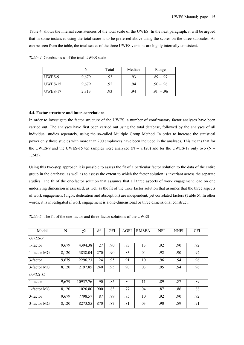Table 4, shows the internal consistencies of the total scale of the UWES. In the next paragraph, it will be argued that in some instances using the total score is to be preferred above using the scores on the three subscales. As can be seen from the table, the total scales of the three UWES versions are highly internally consistent.

|         |       | Total | Median | Range       |
|---------|-------|-------|--------|-------------|
| UWES-9  | 9,679 | .93   | .93    | $.89 - .97$ |
| UWES-15 | 9,679 | .92   | .94    | $.90 - .96$ |
| UWES-17 | 2,313 | 93    | .94    | $.91 - .96$ |

*Table 4*: Cronbach's α of the total UWES scale

#### **4.4. Factor structure and inter-correlations**

In order to investigate the factor structure of the UWES, a number of confirmatory factor analyses have been carried out. The analyses have first been carried out using the total database, followed by the analyses of all individual studies seperately, using the so-called Multiple Group Method. In order to increase the statistical power only those studies with more than 200 employees have been included in the analyses. This means that for the UWES-9 and the UWES-15 ten samples were analyzed ( $N = 8,120$ ) and for the UWES-17 only two ( $N =$ 1,242).

Using this two-step approach it is possible to assess the fit of a particular factor solution to the data of the entire group in the database, as well as to assess the extent to which the factor solution is invariant across the separate studies. The fit of the one-factor solution that assumes that all three aspects of work engagement load on one underlying dimension is assessed, as well as the fit of the three factor solution that assumes that the three aspects of work engagement (vigor, dedication and absorption) are independent, yet correlated factors (Table 5). In other words, it is investigated if work engagement is a one-dimensional or three dimensional construct.

| Model          | N     | $\chi^2$ | df  | <b>GFI</b> | AGFI | <b>RMSEA</b> | <b>NFI</b> | <b>NNFI</b> | <b>CFI</b> |  |
|----------------|-------|----------|-----|------------|------|--------------|------------|-------------|------------|--|
| UWES-9         |       |          |     |            |      |              |            |             |            |  |
| 1-factor       | 9,679 | 4394.38  | 27  | .90        | .83  | .13          | .92        | .90         | .92        |  |
| 1-factor MG    | 8,120 | 3838.04  | 270 | .90        | .83  | .04          | .92        | .90         | .92        |  |
| 3-factor       | 9,679 | 2296.23  | 24  | .95        | .91  | .10          | .96        | .94         | .96        |  |
| 3-factor MG    | 8,120 | 2197.85  | 240 | .95        | .90  | .03          | .95        | .94         | .96        |  |
| <i>UWES-15</i> |       |          |     |            |      |              |            |             |            |  |
| 1-factor       | 9,679 | 10937.76 | 90  | .85        | .80  | .11          | .89        | .87         | .89        |  |
| 1-factor MG    | 8,120 | 1026.80  | 900 | .83        | .77  | .04          | .87        | .86         | .88        |  |
| 3-factor       | 9,679 | 7798.57  | 87  | .89        | .85  | .10          | .92        | .90         | .92        |  |
| 3-factor MG    | 8,120 | 8273.85  | 870 | .87        | .81  | .03          | .90        | .89         | .91        |  |

*Table 5*: The fit of the one-factor and three-factor solutions of the UWES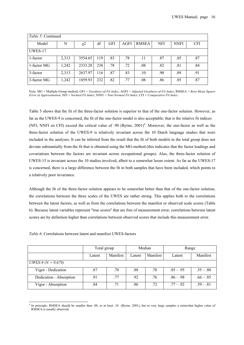| <i>Table 5:</i> Continued |       |          |     |            |      |              |            |             |            |
|---------------------------|-------|----------|-----|------------|------|--------------|------------|-------------|------------|
| Model                     | N     | $\chi^2$ | df  | <b>GFI</b> | AGFI | <b>RMSEA</b> | <b>NFI</b> | <b>NNFI</b> | <b>CFI</b> |
| UWES-17                   |       |          |     |            |      |              |            |             |            |
| 1-factor                  | 2,313 | 3554.65  | 119 | .83        | .78  | .11          | .87        | .85         | .87        |
| 1-factor MG               | 1,242 | 2333.28  | 238 | .78        | .72  | .08          | .82        | .81         | .84        |
| 3-factor                  | 2,313 | 2637.97  | 116 | .87        | .83  | .10          | .90        | .89         | .91        |
| 3-factor MG               | 1,242 | 1859.93  | 232 | .82        | .77  | .08          | .86        | .85         | .87        |

Note: MG = Multiple-Group method; GFI *= Goodness-of-Fit Index*; AGFI = *Adjusted Goodness-of-Fit Index*; RMSEA = *Root Mean Square Error of Approximation*; NFI = *Normed Fit Index*; NNFI *= Non-Normed Fit Index*; CFI = *Comparative Fit Index*.

Table 5 shows that the fit of the three-factor solution is superior to that of the one-factor solution. However, as far as the UWES-9 is concerned, the fit of the one-factor model is also acceptable; that is the relative fit indices (NFI, NNFI en CFI) exceed the critical value of .90 (Byrne,  $2001$ )<sup>4</sup>. Moreover, the one-factor as well as the three-factor solution of the UWES-9 is relatively invariant across the 10 Dutch language studies that were included in the analyses. It can be inferred from the result that the fit of both models in the total group does not deviate substantially from the fit that is obtained using the MG-method (this indicates that the factor loadings and covariations between the factors are invariant across occupational groups). Also, the three-factor solution of UWES-15 is invariant across the 10 studies involved, albeit to a somewhat lesser extent. As far as the UWES-17 is concerned, there is a large difference between the fit in both samples that have been included, which points to a relatively poor invariance.

Although the fit of the three-factor solution appears to be somewhat better than that of the one-factor solution, the correlations between the three scales of the UWES are rather strong. This applies both to the correlations between the latent factors, as well as from the correlations between the manifest or observed scale scores (Table 6). Because latent variables represent ''true scores'' that are free of measurement error, correlations between latent scores are by definition higher than correlations between observed scores that include this measurement error.

|                           | Total group |          | Median |          | Range       |             |  |
|---------------------------|-------------|----------|--------|----------|-------------|-------------|--|
|                           | Latent      | Manifest | Latent | Manifest | Latent      | Manifest    |  |
| <i>UWES-9 (N = 9,679)</i> |             |          |        |          |             |             |  |
| Vigor - Dedication        | .87         | .70      | .88    | .70      | $.85 - .95$ | $.55 - .80$ |  |
| Dedication - Absorption   | .91         | .77      | .92    | .76      | $.86 - .98$ | $.66 - .85$ |  |
| Vigor - Absorption        | .84         | .71      | .86    | .72      | $.77 - .92$ | $.59 - .81$ |  |

*Table 6*: Correlations between latent and manifest UWES-factors

-

<sup>&</sup>lt;sup>4</sup> In principle, RMSEA should be smaller than .08, or at least .10 (Byrne, 2001), but in very large samples a somewhat higher value of RMSEA is usually observed.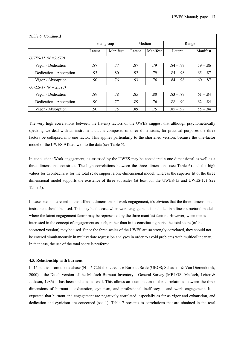| <i>Table 6:</i> Continued  |             |          |        |          |             |             |  |  |
|----------------------------|-------------|----------|--------|----------|-------------|-------------|--|--|
|                            | Total group |          | Median |          | Range       |             |  |  |
|                            | Latent      | Manifest | Latent | Manifest | Latent      | Manifest    |  |  |
| <i>UWES-15 (N = 9,679)</i> |             |          |        |          |             |             |  |  |
| Vigor - Dedication         | .87         | .77      | .87    | .79      | $.84 - .97$ | $.59 - .86$ |  |  |
| Dedication - Absorption    | .93         | .80      | .92    | .79      | $.84 - .98$ | $.65 - .87$ |  |  |
| Vigor - Absorption         | .90         | .76      | .93    | .76      | $.84 - .98$ | $.60 - .87$ |  |  |
| <i>UWES-17 (N = 2,313)</i> |             |          |        |          |             |             |  |  |
| Vigor - Dedication         | .89         | .78      | .85    | .80      | $.83 - .87$ | $.61 - .84$ |  |  |
| Dedication - Absorption    | .90         | .77      | .89    | .76      | $.88 - .90$ | $.62 - .84$ |  |  |
| Vigor - Absorption         | .90         | .75      | .89    | .75      | $.85 - .92$ | $.55 - .84$ |  |  |

The very high correlations between the (latent) factors of the UWES suggest that although psychometrically speaking we deal with an instrument that is composed of three dimensions, for practical purposes the three factors be collapsed into one factor. This applies particularly to the shortened version, because the one-factor model of the UWES-9 fitted well to the data (see Table 5).

In conclusion: Work engagement, as assessed by the UWES may be considered a one-dimensional as well as a three-dimensional construct. The high correlations between the three dimensions (see Table 6) and the high values for Cronbach's α for the total scale support a one-dimensional model, whereas the superior fit of the three dimensional model supports the existence of three subscales (at least for the UWES-15 and UWES-17) (see Table 5).

In case one is interested in the different dimensions of work engagement, it's obvious that the three-dimensional instrument should be used. This may be the case when work engagement is included in a linear structural model where the latent engagement factor may be represented by the three manifest factors. However, when one is interested in the concept of engagement as such, rather than in its constituting parts, the total score (of the shortened version) may be used. Since the three scales of the UWES are so strongly correlated, they should not be entered simultaneously in multivariate regression analyses in order to avoid problems with multicollinearity. In that case, the use of the total score is preferred.

#### **4.5. Relationship with burnout**

In 15 studies from the database ( $N = 6,726$ ) the Utrechtse Burnout Scale (UBOS; Schaufeli & Van Dierendonck, 2000) – the Dutch version of the Maslach Burnout Inventory - General Survey (MBI-GS; Maslach, Leiter & Jackson, 1986) – has been included as well. This allows an examination of the correlations between the three dimensions of burnout – exhaustion, cynicism, and professional inefficacy – and work engagement. It is expected that burnout and engagement are negatively correlated, especially as far as vigor and exhaustion, and dedication and cynicism are concerned (see 1). Table 7 presents to correlations that are obtained in the total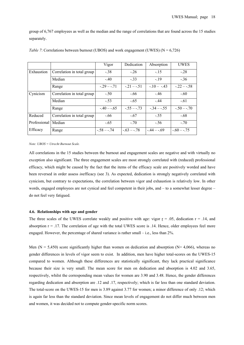group of 6,767 employees as well as the median and the range of correlations that are found across the 15 studies separately.

|              |                            | Vigor        | Dedication     | Absorption   | <b>UWES</b>    |
|--------------|----------------------------|--------------|----------------|--------------|----------------|
| Exhaustion   | Correlation in total group | $-.38$       | $-26$          | $-15$        | $-28$          |
|              | Median                     | $-.40$       | $-33$          | $-19$        | $-.36$         |
|              | Range                      | $-29 - -71$  | $-21 - -51$    | $-10 - -43$  | $-22 - 58$     |
| Cynicism     | Correlation in total group | $-.50$       | $-.66$         | $-46$        | $-.60$         |
|              | Median                     | $-.53$       | $-.65$         | $-44$        | $-.61$         |
|              | Range                      | $-.40 - .65$ | $-0.55 - 0.73$ | $-.34 - .55$ | $-.50 - .70$   |
| Reduced      | Correlation in total group | $-.66$       | $-.67$         | $-.55$       | $-.68$         |
| Professional | Median                     | $-.65$       | $-.70$         | $-.56$       | $-.70$         |
| Efficacy     | Range                      | $-.58 - .74$ | $-63 - 78$     | $-44 - 69$   | $-0.60 - 0.75$ |

| Table 7: Correlations between burnout (UBOS) and work engagement (UWES) ( $N = 6,726$ ) |  |  |
|-----------------------------------------------------------------------------------------|--|--|
|-----------------------------------------------------------------------------------------|--|--|

*Note: UBOS = Utrecht Burnout Scale.* 

All correlations in the 15 studies between the burnout and engagement scales are negative and with virtually no exception also significant. The three engagement scales are most strongly correlated with (reduced) professional efficacy, which might be caused by the fact that the items of the efficacy scale are positively worded and have been reversed in order assess *in*efficacy (see 3). As expected, dedication is strongly negatively correlated with cynicism, but contrary to expectations, the correlation between vigor and exhaustion is relatively low. In other words, engaged employees are not cynical and feel competent in their jobs, and – to a somewhat lesser degree – do not feel very fatigued.

#### **4.6. Relationships with age and gender**

The three scales of the UWES correlate weakly and positive with age: vigor  $r = 0.05$ , dedication  $r = 0.14$ , and absorption  $r = .17$ . The correlation of age with the total UWES score is  $.14$ . Hence, older employees feel more engaged. However, the percentage of shared variance is rather small – i.e., less than 2%.

Men ( $N = 5,450$ ) score significantly higher than women on dedication and absorption ( $N = 4,066$ ), whereas no gender differences in levels of vigor seem to exist. In addition, men have higher total-scores on the UWES-15 compared to women. Although these differences are statistically significant, they lack practical significance because their size is very small. The mean score for men on dedication and absorption is 4.02 and 3.65, respectively, whilst the corresponding mean values for women are 3.90 and 3.48. Hence, the gender differences regarding dedication and absorption are .12 and .17, respectively; which is far less than one standard deviation. The total-score on the UWES-15 for men is 3.89 against 3.77 for women; a minor difference of only .12; which is again far less than the standard deviation. Since mean levels of engagement do not differ much between men and women, it was decided not to compute gender-specific norm scores.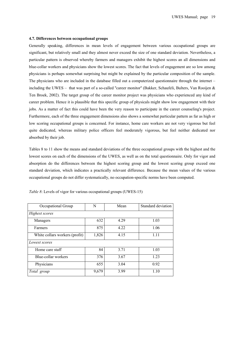#### **4.7. Differences between occupational groups**

Generally speaking, differences in mean levels of engagement between various occupational groups are significant, but relatively small and they almost never exceed the size of one standard deviation. Nevertheless, a particular pattern is observed whereby farmers and managers exhibit the highest scores an all dimensions and blue-collar workers and physicians show the lowest scores. The fact that levels of engagement are so low among physicians is perhaps somewhat surprising but might be explained by the particular composition of the sample. The physicians who are included in the database filled out a computerized questionnaire through the internet – including the UWES – that was part of a so-called ''career monitor'' (Bakker, Schaufeli, Bulters, Van Rooijen & Ten Broek, 2002). The target group of the career monitor project was physicians who experienced any kind of career problem. Hence it is plausible that this specific group of physicals might show low engagement with their jobs. As a matter of fact this could have been the very reason to participate in the career counseling's project. Furthermore, each of the three engagement dimensions also shows a somewhat particular pattern as far as high or low scoring occupational groups is concerned. For instance, home care workers are not very vigorous but feel quite dedicated, whereas military police officers feel moderately vigorous, but feel neither dedicated nor absorbed by their job.

Tables 8 to 11 show the means and standard deviations of the three occupational groups with the highest and the lowest scores on each of the dimensions of the UWES, as well as on the total questionnaire. Only for vigor and absorption do the differences between the highest scoring group and the lowest scoring group exceed one standard deviation, which indicates a practically relevant difference. Because the mean values of the various occupational groups do not differ systematically, no occupation-specific norms have been computed.

| Occupational Group             | N     | Mean | Standard deviation |
|--------------------------------|-------|------|--------------------|
| Highest scores                 |       |      |                    |
| Managers                       | 632   | 4.29 | 1.03               |
| Farmers                        | 875   | 4.22 | 1.06               |
| White collars workers (profit) | 1,826 | 4.15 | 1.11               |
| Lowest scores                  |       |      |                    |
| Home care staff                | 84    | 3.71 | 1.03               |
| Blue-collar workers            | 376   | 3.67 | 1.23               |
| Physicians                     | 655   | 3.04 | 0.92               |
| Total group                    | 9,679 | 3.99 | 1.10               |

*Table 8*: Levels of vigor for various occupational groups (UWES-15)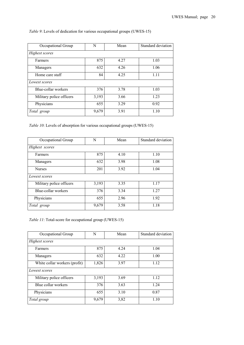| Table 9: Levels of dedication for various occupational groups (UWES-15) |  |  |
|-------------------------------------------------------------------------|--|--|
|                                                                         |  |  |

| Occupational Group       | N     | Mean | Standard deviation |
|--------------------------|-------|------|--------------------|
| Highest scores           |       |      |                    |
| Farmers                  | 875   | 4.27 | 1.03               |
| Managers                 | 632   | 4.26 | 1.06               |
| Home care staff          | 84    | 4.25 | 1.11               |
| Lowest scores            |       |      |                    |
| Blue-collar workers      | 376   | 3.78 | 1.03               |
| Military police officers | 3,193 | 3.66 | 1.23               |
| Physicians               | 655   | 3.29 | 0.92               |
| Total group              | 9,679 | 3.91 | 1.10               |

*Table 10*: Levels of absorption for various occupational groups (UWES-15)

| Occupational Group       | N     | Mean | Standard deviation |
|--------------------------|-------|------|--------------------|
| Highest scores           |       |      |                    |
| Farmers                  | 875   | 4.10 | 1.10               |
| Managers                 | 632   | 3.98 | 1.08               |
| <b>Nurses</b>            | 201   | 3.92 | 1.04               |
| Lowest scores            |       |      |                    |
| Military police officers | 3,193 | 3.35 | 1.17               |
| Blue-collar workers      | 376   | 3.34 | 1.27               |
| Physicians               | 655   | 2.96 | 1.92               |
| Total group              | 9,679 | 3.58 | 1.18               |

*Table 11*: Total-score for occupational group (UWES-15)

| Occupational Group            | N     | Mean | Standard deviation |
|-------------------------------|-------|------|--------------------|
| Highest scores                |       |      |                    |
| Farmers                       | 875   | 4.24 | 1.04               |
| Managers                      | 632   | 4.22 | 1.00               |
| White collar workers (profit) | 1,826 | 3.97 | 1.12               |
| Lowest scores                 |       |      |                    |
| Military police officers      | 3,193 | 3.69 | 1.12               |
| Blue collar workers           | 376   | 3.63 | 1.24               |
| Physicians                    | 655   | 3.10 | 0.87               |
| Total group                   | 9,679 | 3,82 | 1.10               |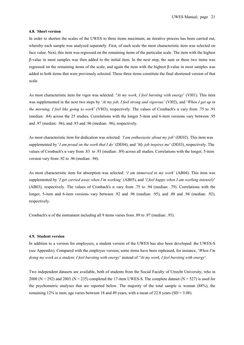#### **4.8. Short version**

In order to shorten the scales of the UWES to three items maximum, an iterative process has been carried out, whereby each sample was analyzed separately. First, of each scale the most characteristic item was selected on face value. Next, this item was regressed on the remaining items of the particular scale. The item with the highest β-value in most samples was then added to the initial item. In the next step, the sum or these two items was regressed on the remaining items of the scale, and again the item with the highest β-value in most samples was added to both items that were previously selected. These three items constitute the final shortened version of that scale.

As most characteristic item for vigor was selected: *''At my work, I feel bursting with energy*' (VI01). This item was supplemented in the next two steps by '*At my job, I feel strong and vigorous'* (VI02), and '*When I get up in the morning, I feel like going to work*' (VI03), respectively. The values of Cronbach's α vary from .75 to .91 (median: .84) across the 25 studies. Correlations with the longer 5-item and 6-item versions vary between .95 and .97 (median: .96), and .93 and .96 (median: .96), respectively.

As most characteristic item for dedication was selected: *'I am enthusiastic about my job*' (DE02). This item was supplemented by '*I am proud on the work that I do'* (DE04), and '*My job inspires me*' (DE03), respectively. The values of Cronbach's α vary from .83 to .93 (median: .89) across all studies. Correlations with the longer, 5-item version vary from .92 to .96 (median: .94).

As most characteristic item for absorption was selected: '*I am immersed in my work*' (AB04). This item was supplemented by '*I get carried away when I'm working'* (AB05), and '*I feel happy when I am working intensely*' (AB03), respectively. The values of Cronbach's α vary from .75 to .94 (median: .79). Correlations with the longer, 5-item and 6-item versions vary between .92 and .96 (median: .95), and .88 and .94 (median: .92), respectively.

Cronbach's  $\alpha$  of the instrument including all 9 items varies from .89 to .97 (median: .93).

#### **4.9. Student version**

In addition to a version for employees, a student version of the UWES has also been developed: the UWES-S (see Appendix). Compared with the employee version, some items have been rephrased, for instance, '*When I'm doing my work as a student, I feel bursting with energy*' instead of *''At my work, I feel bursting with energy*'.

Two independent datasets are available, both of students from the Social Faculty of Utrecht University, who in 2000 (N = 292) and 2003 (N = 235) completed the 17-item UWES-S. The complete dataset (N = 527) is used for the psychometric analyses that are reported below. The majority of the total sample is woman (88%), the remaining 12% is men; age varies between 18 and 49 years, with a mean of 22.8 years (SD =  $3.08$ ).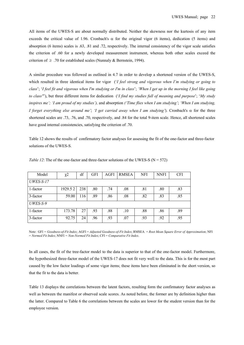All items of the UWES-S are about normally distributed. Neither the skewness nor the kurtosis of any item exceeds the critical value of 1.96. Cronbach's  $\alpha$  for the original vigor (6 items), dedication (5 items) and absorption (6 items) scales is .63, .81 and .72, respectively. The internal consistency of the vigor scale satisfies the criterion of .60 for a newly developed measurement instrument, whereas both other scales exceed the criterion of  $\geq$  .70 for established scales (Nunnaly & Bernstein, 1994).

A similar procedure was followed as outlined in 4.7 in order to develop a shortened version of the UWES-S, which resulted in three identical items for vigor (*'I feel strong and vigorous when I'm studying or going to class*'; '*I feel fit and vigorous when I'm studying or I'm in class*'; *'When I get up in the morning I feel like going to class''*'), but three different items for dedication ('*I find my studies full of meaning and purpose*'; '*My study inspires me'; 'I am proud of my studies'),* and absorption *('Time flies when I am studying'*; *'When I am studying, I forget everything else around me'*; *'I get carried away when I am studying'*). Cronbach's α for the three shortened scales are .73, .76, and .70, respectively, and .84 for the total 9-item scale. Hence, all shortened scales have good internal consistencies, satisfying the criterion of .70.

Table 12 shows the results of confirmatory factor analyses for assessing the fit of the one-factor and three-factor solutions of the UWES-S.

| Model     | $\chi^2$ | df  | <b>GFI</b> | AGFI | <b>RMSEA</b> | <b>NFI</b> | <b>NNFI</b> | <b>CFI</b> |
|-----------|----------|-----|------------|------|--------------|------------|-------------|------------|
| UWES-S-17 |          |     |            |      |              |            |             |            |
| 1-factor  | 1929.52  | 238 | .80        | .74  | .08          | .81        | .80         | .83        |
| 3-factor  | 59.00    | 116 | .89        | .86  | .08          | .82        | .83         | .85        |
| UWES-S-9  |          |     |            |      |              |            |             |            |
| 1-factor  | 173.78   | 27  | .93        | .88  | .10          | .88        | .86         | .89        |
| 3-factor  | 92.75    | 24  | .96        | .93  | .07          | .93        | .92         | .95        |

*Table 12*: The of the one-factor and three-factor solutions of the UWES-S ( $N = 572$ )

Note: GFI *= Goodness-of-Fit Index*; AGFI = *Adjusted Goodness-of-Fit Index*; RMSEA = *Root Mean Square Error of Approximation*; NFI = *Normed Fit Index*; NNFI *= Non-Normed Fit Index*; CFI = *Comparative Fit Index*.

In all cases, the fit of the tree-factor model to the data is superior to that of the one-factor model. Furthermore, the hypothesized three-factor model of the UWES-17 does not fit very well to the data. This is for the most part caused by the low factor loadings of some vigor items; these items have been eliminated in the short version, so that the fit to the data is better.

Table 13 displays the correlations between the latent factors, resulting form the confirmatory factor analyses as well as between the manifest or observed scale scores. As noted before, the former are by definition higher than the latter. Compared to Table 6 the correlations between the scales are lower for the student version than for the employee version.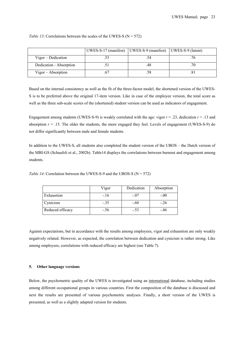|                         | UWES-S-17 (manifest)   UWES-S-9 (manifest)   UWES-S-9 (latent) |     |  |
|-------------------------|----------------------------------------------------------------|-----|--|
| Vigor – Dedication      |                                                                |     |  |
| Dedication - Absorption |                                                                | 48  |  |
| $Vigor - Absorption$    |                                                                | .58 |  |

*Table 13*: Correlations between the scales of the UWES-S ( $N = 572$ )

Based on the internal consistency as well as the fit of the three-factor model, the shortened version of the UWES-S is to be preferred above the original 17-item version. Like in case of the employee version, the total score as well as the three sub-scale scores of the (shortened) student version can be used as indicators of engagement.

Engagement among students (UWES-S-9) is weakly correlated with the age: vigor  $r = .23$ , dedication  $r = .13$  and absorption  $r = 0.15$ . The older the students, the more engaged they feel. Levels of engagement (UWES-S-9) do not differ significantly between male and female students.

In addition to the UWES-S, all students also completed the student version of the UBOS – the Dutch version of the MBI-GS (Schaufeli et al., 2002b). Table14 displays the correlations between burnout and engagement among students.

*Table 14*: Correlation between the UWES-S-9 and the UBOS-S ( $N = 572$ )

|                  | Vigor  | Dedication | Absorption |
|------------------|--------|------------|------------|
| Exhaustion       | $-.16$ | $-.07$     | $-.00$     |
| Cynicism         | $-.35$ | $-.60$     | $-.26$     |
| Reduced efficacy | $-.56$ | $-.53$     | -.46       |

Against expectations, but in accordance with the results among employees, vigor and exhaustion are only weakly negatively related. However, as expected, the correlation between dedication and cynicism is rather strong. Like among employees, correlations with reduced efficacy are highest (see Table 7).

# **5. Other language versions**

Below, the psychometric quality of the UWES is investigated using an international database, including studies among different occupational groups in various countries. First the composition of the database is discussed and next the results are presented of various psychometric analyses. Finally, a short version of the UWES is presented, as well as a slightly adapted version for students.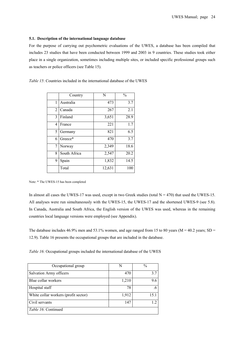#### **5.1. Description of the international language database**

For the purpose of carrying out psychometric evaluations of the UWES, a database has been compiled that includes 23 studies that have been conducted between 1999 and 2003 in 9 countries. These studies took either place in a single organization, sometimes including multiple sites, or included specific professional groups such as teachers or police officers (see Table 15).

| <i>Table 15:</i> Countries included in the international database of the UWES |
|-------------------------------------------------------------------------------|
|-------------------------------------------------------------------------------|

|                | Country      | N      | $\frac{0}{0}$ |
|----------------|--------------|--------|---------------|
| 1              | Australia    | 473    | 3.7           |
| $\overline{2}$ | Canada       | 267    | 2.1           |
| 3              | Finland      | 3,651  | 28.9          |
| 4              | France       | 221    | 1.7           |
| 5              | Germany      | 821    | 6.5           |
| 6              | Greece*      | 470    | 3.7           |
| 7              | Norway       | 2,349  | 18.6          |
| 8              | South Africa | 2,547  | 20.2          |
| 9              | Spain        | 1,832  | 14.5          |
|                | Total        | 12,631 | 100           |

Note: \* The UWES-15 has been completed

In almost all cases the UWES-17 was used, except in two Greek studies (total  $N = 470$ ) that used the UWES-15. All analyses were run simultaneously with the UWES-15, the UWES-17 and the shortened UWES-9 (see 5.8). In Canada, Australia and South Africa, the English version of the UWES was used, whereas in the remaining countries local language versions were employed (see Appendix).

The database includes 46.9% men and 53.1% women, and age ranged from 15 to 80 years ( $M = 40.2$  years; SD = 12.9). Table 16 presents the occupational groups that are included in the database.

*Table 16*: Occupational groups included the international database of the UWES

| Occupational group                   | N     | $\frac{0}{0}$ |
|--------------------------------------|-------|---------------|
| Salvation Army officers              | 470   | 37            |
| Blue collar workers                  | 1,210 | 9.6           |
| Hospital staff                       | 78    | .6            |
| White collar workers (profit sector) | 1,912 | 15.1          |
| Civil servants                       | 147   | 12            |
| <i>Table 16:</i> Continued           |       |               |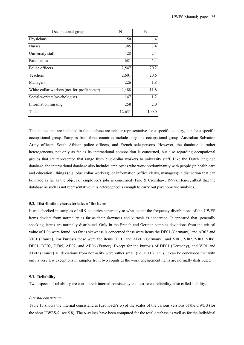| Occupational group                           | N      | $\frac{0}{0}$ |
|----------------------------------------------|--------|---------------|
| Physicians                                   | 50     | $\cdot$ 4     |
| <b>Nurses</b>                                | 385    | 3.4           |
| University staff                             | 428    | 2.4           |
| Paramedics                                   | 681    | 5.4           |
| Police officers                              | 2,547  | 20.2          |
| Teachers                                     | 2,601  | 20.6          |
| Managers                                     | 226    | 1.8           |
| White collar workers (not-for-profit sector) | 1,488  | 11.8          |
| Social workers/psychologists                 | 147    | 1.2           |
| Information missing                          | 258    | 2.0           |
| Total                                        | 12.631 | 100.0         |

The studies that are included in the database are neither representative for a specific country, nor for a specific occupational group. Samples from three countries include only one occupational group: Australian Salvation Army officers, South African police officers, and French salespersons. However, the database is rather heterogeneous, not only as far as its international composition is concerned, but also regarding occupational groups that are represented that range from blue-collar workers to university staff. Like the Dutch language database, the international database also includes employees who work predominantly with people (in health care and education), things (e.g. blue collar workers), or information (office clerks, managers); a distinction that can be made as far as the object of employee's jobs is concerned (Fine & Cronshaw, 1999). Hence, albeit that the database as such is not representative, it is heterogeneous enough to carry out psychometric analyses.

## **5.2. Distribution characteristics of the items**

It was checked in samples of all 9 countries separately to what extent the frequency distributions of the UWES items deviate from normality as far as their skewness and kurtosis is concerned. It appeared that, generally speaking, items are normally distributed. Only in the French and German samples deviations from the critical value of 1.96 were found. As far as skewness is concerned these were items the DE01 (Germany), and AB02 and VI01 (France). For kurtosis these were the items DE01 and AB01 (Germany), and VI01, VI02, VI03, VI06, DE01, DE02, DE05, AB02, and AB06 (France). Except for the kurtosis of DE01 (Germany), and VI01 and AB02 (France) all deviations from normality were rather small (i.e. < 3.0). Thus, it can be concluded that with only a very few exceptions in samples from two countries the work engagement items are normally distributed.

#### **5.3. Reliability**

Two aspects of reliability are considered: internal consistency and test-retest reliability, also called stability.

#### *Internal consistency*

Table 17 shows the internal consistencies (Cronbach's  $\alpha$ ) of the scales of the various versions of the UWES (for the short UWES-9, see 5.8). The  $\alpha$ -values have been computed for the total database as well as for the individual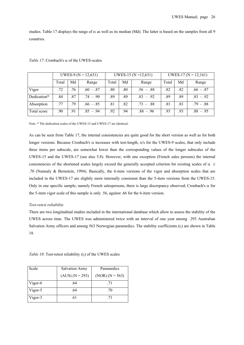studies. Table 17 displays the range of  $\alpha$  as well as its median (Md). The latter is based on the samples from all 9 countries.

|             | UWES-9 ( $N = 12,631$ ) |     |             |       |     | UWES-15 ( $N = 12,631$ ) | UWES-17 ( $N = 12,161$ ) |     |             |
|-------------|-------------------------|-----|-------------|-------|-----|--------------------------|--------------------------|-----|-------------|
|             | Total                   | Md  | Range       | Total | Md  | Range                    | Total                    | Md  | Range       |
| Vigor       | .72                     | .76 | $.60 - .87$ | .80   | .80 | $.56 - .88$              | .82                      | .82 | $.66 - .87$ |
| Dedication* | .84                     | .87 | $.74 - .90$ | .89   | .89 | $.83 - .92$              | .89                      | .89 | $.83 - .92$ |
| Absorption  | 77                      | .79 | $.66 - .85$ | .81   | .82 | $.73 - .88$              | .83                      | .83 | $.79 - .88$ |
| Total score | .90                     | .91 | $.85 - .94$ | .92   | .94 | $.88 - .96$              | .93                      | .93 | $.88 - .95$ |

#### *Table 17:* Cronbach's  $\alpha$  of the UWES-scales

Note. \* The dedication scales of the UWES-15 and UWES-17 are identical.

As can be seen from Table 17, the internal consistencies are quite good for the short version as well as for both longer versions. Because Cronbach's α increases with test-length, α's for the UWES-9 scales, that only include three items per subscale, are somewhat lower than the corresponding values of the longer subscales of the UWES-15 and the UWES-17 (see also 5.8). However, with one exception (French sales persons) the internal consistencies of the shortened scales largely exceed the generally accepted criterion for existing scales of  $\alpha \geq$ .70 (Nunnaly & Bernstein, 1994). Basically, the 6-item versions of the vigor and absorption scales that are included in the UWES-17 are slightly more internally consistent than the 5-item versions from the UWES-15. Only in one specific sample, namely French salespersons, there is large discrepancy observed; Cronbach's α for the 5-item vigor scale of this sample is only .56, against .66 for the 6-item version.

#### *Test-retest reliability*

There are two longitudinal studies included in the international database which allow to assess the stability of the UWES across time. The UWES was administered twice with an interval of one year among 293 Australian Salvation Army officers and among 563 Norwegian paramedics. The stability coefficients  $(r_t)$  are shown in Table 18.

*Table 18*: Test-retest reliability  $(r_t)$  of the UWES scales

| Scale   | <b>Salvation Army</b> | Paramedics        |
|---------|-----------------------|-------------------|
|         | $(AUS) (N = 293)$     | $(NOR) (N = 563)$ |
| Vigor-6 | .64                   | .71               |
| Vigor-5 | .64                   | .70               |
| Vigor-3 | .61                   | -71               |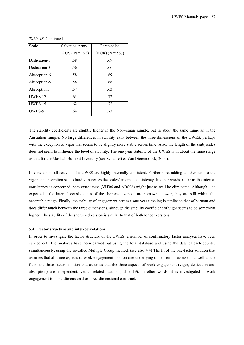|                | <i>Table 18:</i> Continued |                   |  |  |  |  |  |  |  |  |
|----------------|----------------------------|-------------------|--|--|--|--|--|--|--|--|
| Scale          | <b>Salvation Army</b>      | Paramedics        |  |  |  |  |  |  |  |  |
|                | $(AUS) (N = 293)$          | $(NOR) (N = 563)$ |  |  |  |  |  |  |  |  |
| Dedication-5   | .58                        | .69               |  |  |  |  |  |  |  |  |
| Dedication-3   | .56                        | .66               |  |  |  |  |  |  |  |  |
| Absorption-6   | .58                        | .69               |  |  |  |  |  |  |  |  |
| Absorption-5   | .58                        | .68               |  |  |  |  |  |  |  |  |
| Absorption3    | .57                        | .63               |  |  |  |  |  |  |  |  |
| UWES-17        | .63                        | .72               |  |  |  |  |  |  |  |  |
| <b>UWES-15</b> | .62                        | .72               |  |  |  |  |  |  |  |  |
| UWES-9         | .64                        | .73               |  |  |  |  |  |  |  |  |

The stability coefficients are slightly higher in the Norwegian sample, but in about the same range as in the Australian sample. No large differences in stability exist between the three dimensions of the UWES, perhaps with the exception of vigor that seems to be slightly more stable across time. Also, the length of the (sub)scales does not seem to influence the level of stability. The one-year stability of the UWES is in about the same range as that for the Maslach Burnout Inventory (see Schaufeli & Van Dierendonck, 2000).

In conclusion: all scales of the UWES are highly internally consistent. Furthermore, adding another item to the vigor and absorption scales hardly increases the scales' internal consistency. In other words, as far as the internal consistency is concerned, both extra items (VIT06 and ABS06) might just as well be eliminated. Although – as expected – the internal consistencies of the shortened version are somewhat lower, they are still within the acceptable range. Finally, the stability of engagement across a one-year time lag is similar to that of burnout and does differ much between the three dimensions, although the stability coefficient of vigor seems to be somewhat higher. The stability of the shortened version is similar to that of both longer versions.

#### **5.4. Factor structure and inter-correlations**

In order to investigate the factor structure of the UWES, a number of confirmatory factor analyses have been carried out. The analyses have been carried out using the total database and using the data of each country simultaneously, using the so-called Multiple Group method. (see also 4.4) The fit of the one-factor solution that assumes that all three aspects of work engagement load on one underlying dimension is assessed, as well as the fit of the three factor solution that assumes that the three aspects of work engagement (vigor, dedication and absorption) are independent, yet correlated factors (Table 19). In other words, it is investigated if work engagement is a one-dimensional or three-dimensional construct.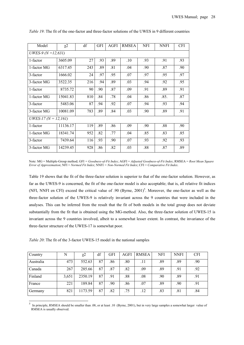| Model                    | $\chi^2$ | df  | <b>GFI</b> | AGFI | <b>RMSEA</b> | NFI | <b>NNFI</b> | <b>CFI</b> |
|--------------------------|----------|-----|------------|------|--------------|-----|-------------|------------|
| UWES-9 ( $N = 12,631$ )  |          |     |            |      |              |     |             |            |
| 1-factor                 | 3605.09  | 27  | .93        | .89  | .10          | .93 | .91         | .93        |
| 1-factor MG              | 6317.45  | 243 | .89        | .81  | .04          | .90 | .87         | .90        |
| 3-factor                 | 1666.02  | 24  | .97        | .95  | .07          | .97 | .95         | .97        |
| 3-factor MG              | 3522.35  | 216 | .94        | .89  | .03          | .94 | .92         | .95        |
| 1-factor                 | 8735.72  | 90  | .90        | .87  | .09          | .91 | .89         | .91        |
| 1-factor MG              | 15041.83 | 810 | .84        | .78  | .04          | .86 | .85.        | .87        |
| 3-factor                 | 5483.06  | 87  | .94        | .92  | .07          | .94 | .93         | .94        |
| 3-factor MG              | 10081.09 | 783 | .89        | .84  | .03          | .90 | .89         | .91        |
| UWES-17 ( $N = 12,161$ ) |          |     |            |      |              |     |             |            |
| 1-factor                 | 11136.17 | 119 | .89        | .86  | .09          | .90 | .88         | .90        |
| 1-factor MG              | 18341.74 | 952 | .82        | .77  | .04          | .85 | .83         | .85        |
| 3-factor                 | 7439.64  | 116 | .93        | .90  | .07          | .93 | .92         | .93        |
| 3-factor MG              | 14239.45 | 928 | .86        | .82  | .03          | .88 | .87         | .89        |

*Table 19*: The fit of the one-factor and three-factor solutions of the UWES in 9 different countries

Note: MG = Multiple-Group method; GFI *= Goodness-of-Fit Index*; AGFI = *Adjusted Goodness-of-Fit Index*; RMSEA = *Root Mean Square Error of Approximation*; NFI = *Normed Fit Index*; NNFI *= Non-Normed Fit Index*; CFI = *Comparative Fit Index*.

Table 19 shows that the fit of the three-factor solution is superior to that of the one-factor solution. However, as far as the UWES-9 is concerned, the fit of the one-factor model is also acceptable; that is, all relative fit indices (NFI, NNFI en CFI) exceed the critical value of .90 (Byrne, 2001)<sup>5</sup>. Moreover, the one-factor as well as the three-factor solution of the UWES-9 is relatively invariant across the 9 countries that were included in the analyses. This can be inferred from the result that the fit of both models in the total group does not deviate substantially from the fit that is obtained using the MG-method. Also, the three-factor solution of UWES-15 is invariant across the 9 countries involved, albeit to a somewhat lesser extent. In contrast, the invariance of the three-factor structure of the UWES-17 is somewhat poor.

*Table 20*: The fit of the 3-factor UWES-15 model in the national samples

 $\overline{a}$ 

| Country   | N     | $\chi$ <sup>2</sup> | df | <b>GFI</b> | AGFI | <b>RMSEA</b> | NFI | <b>NNFI</b> | <b>CFI</b> |
|-----------|-------|---------------------|----|------------|------|--------------|-----|-------------|------------|
| Australia | 473   | 552.63              | 87 | .86        | .80  | .11          | .89 | .89         | .90        |
| Canada    | 267   | 285.66              | 87 | .87        | .82  | .09          | .89 | .91         | .92        |
| Finland   | 3,651 | 2350.19             | 87 | .91        | .88  | .08          | .90 | .89         | .91        |
| France    | 221   | 189.84              | 87 | .90        | .86  | .07          | .89 | .90         | .91        |
| Germany   | 821   | 1173.59             | 87 | .82        | .75  | .12          | .83 | .81         | .84        |

<sup>5</sup> In principle, RMSEA should be smaller than .08, or at least .10 (Byrne, 2001), but in very large samples a somewhat larger value of RMSEA is usually observed.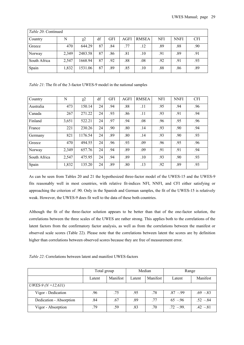| <i>Table 20:</i> Continued |       |          |    |            |      |              |            |             |            |  |
|----------------------------|-------|----------|----|------------|------|--------------|------------|-------------|------------|--|
| Country                    | N     | $\chi^2$ | df | <b>GFI</b> | AGFI | <b>RMSEA</b> | <b>NFI</b> | <b>NNFI</b> | <b>CFI</b> |  |
| Greece                     | 470   | 644.29   | 87 | .84        | .77  | .12          | .89        | .88         | .90        |  |
| Norway                     | 2,349 | 2483.58  | 87 | .86        | .81  | .10          | .91        | .89         | .91        |  |
| South Africa               | 2,547 | 1668.94  | 87 | .92        | .88  | .08          | .92        | .91         | .93        |  |
| Spain                      | 1,832 | 1531.06  | 87 | .89        | .85  | $.10\,$      | .88        | .86         | .89        |  |

*Table 21*: The fit of the 3-factor UWES-9 model in the national samples

| Country      | N     | $\chi$ <sup>2</sup> | df | <b>GFI</b> | <b>AGFI</b> | <b>RMSEA</b> | <b>NFI</b> | <b>NNFI</b> | <b>CFI</b> |
|--------------|-------|---------------------|----|------------|-------------|--------------|------------|-------------|------------|
| Australia    | 473   | 150.14              | 24 | .94        | .88         | .11          | .95        | .94         | .96        |
| Canada       | 267   | 271.22              | 24 | .93        | .86         | .11          | .93        | .91         | .94        |
| Finland      | 3,651 | 522.21              | 24 | .97        | .94         | .08          | .96        | .95         | .96        |
| France       | 221   | 230.26              | 24 | .90        | .80         | .14          | .93        | .90         | .94        |
| Germany      | 821   | 1176.54             | 24 | .89        | .80         | .14          | .93        | .90         | .93        |
| Greece       | 470   | 494.55              | 24 | .96        | .93         | .09          | .96        | .95         | .96        |
| Norway       | 2,349 | 657.76              | 24 | .94        | .89         | .09          | .91        | .91         | .94        |
| South Africa | 2,547 | 475.95              | 24 | .94        | .89         | .10          | .93        | .90         | .93        |
| Spain        | 1,832 | 135.20              | 24 | .89        | .80         | .13          | .92        | .89         | .93        |

As can be seen from Tables 20 and 21 the hypothesized three-factor model of the UWES-15 and the UWES-9 fits reasonably well in most countries, with relative fit-indices NFI, NNFI, and CFI either satisfying or approaching the criterion of .90. Only in the Spanish and German samples, the fit of the UWES-15 is relatively weak. However, the UWES-9 does fit well to the data of these both countries.

Although the fit of the three-factor solution appears to be better than that of the one-factor solution, the correlations between the three scales of the UWES are rather strong. This applies both to the correlations of the latent factors from the confirmatory factor analysis, as well as from the correlations between the manifest or observed scale scores (Table 22). Please note that the correlations between latent the scores are by definition higher than correlations between observed scores because they are free of measurement error.

*Table 22*: Correlations between latent and manifest UWES-factors

|                         | Total group |          |        | Median   | Range       |            |
|-------------------------|-------------|----------|--------|----------|-------------|------------|
|                         | Latent      | Manifest | Latent | Manifest | Latent      | Manifest   |
| UWES-9 ( $N = 12,631$ ) |             |          |        |          |             |            |
| Vigor - Dedication      | .96         | .75      | .95    | .78      | $.87 - .99$ | $.69 - 83$ |
| Dedication - Absorption | .84         | .67      | .89    | .77      | $65 - 96$   | $.52 - 84$ |
| Vigor - Absorption      | .79         | .59      | .83    | .70      | $72 - 99$   | $.42 - 81$ |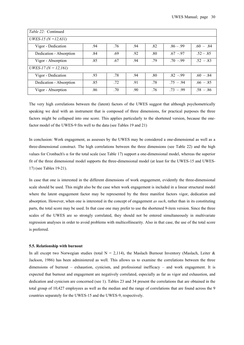| <i>Table 22:</i> Continued  |                                                        |     |     |     |             |             |  |  |  |  |
|-----------------------------|--------------------------------------------------------|-----|-----|-----|-------------|-------------|--|--|--|--|
| UWES-15 ( $N = 12,631$ )    |                                                        |     |     |     |             |             |  |  |  |  |
| Vigor - Dedication          | .94                                                    | .76 | .94 | .82 | $.86 - .99$ | $.60 - .84$ |  |  |  |  |
| Dedication - Absorption     | .84                                                    | .69 | .92 | .80 | $.67 - .97$ | $.52 - .85$ |  |  |  |  |
| Vigor - Absorption          | $.52 - .83$<br>.79<br>$.70 - .99$<br>.85<br>.67<br>.94 |     |     |     |             |             |  |  |  |  |
| <i>UWES-17 (N = 12,161)</i> |                                                        |     |     |     |             |             |  |  |  |  |
| Vigor - Dedication          | .93                                                    | .78 | .94 | .80 | $.82 - .99$ | $.60 - .84$ |  |  |  |  |
| Dedication - Absorption     | .85                                                    | .72 | .91 | .78 | $.75 - .94$ | $.66 - .85$ |  |  |  |  |
| Vigor - Absorption          | .86                                                    | .70 | .90 | .76 | $.73 - .99$ | $.58 - .86$ |  |  |  |  |

The very high correlations between the (latent) factors of the UWES suggest that although psychometrically speaking we deal with an instrument that is composed of three dimensions, for practical purposes the three factors might be collapsed into one score. This applies particularly to the shortened version, because the onefactor model of the UWES-9 fits well to the data (see Tables 19 and 21)

In conclusion: Work engagement, as assesses by the UWES may be considered a one-dimensional as well as a three-dimensional construct. The high correlations between the three dimensions (see Table 22) and the high values for Cronbach's α for the total scale (see Table 17) support a one-dimensional model, whereas the superior fit of the three dimensional model supports the three-dimensional model (at least for the UWES-15 and UWES-17) (see Tables 19-21).

In case that one is interested in the different dimensions of work engagement, evidently the three-dimensional scale should be used. This might also be the case when work engagement is included in a linear structural model where the latent engagement factor may be represented by the three manifest factors vigor, dedication and absorption. However, when one is interested in the concept of engagement *as such*, rather than in its constituting parts, the total score may be used. In that case one may prefer to use the shortened 9-item version. Since the three scales of the UWES are so strongly correlated, they should not be entered simultaneously in multivariate regression analyses in order to avoid problems with multicollinearity. Also in that case, the use of the total score is preferred.

#### **5.5. Relationship with burnout**

In all except two Norwegian studies (total  $N = 2,114$ ), the Maslach Burnout Inventory (Maslach, Leiter & Jackson, 1986) has been administered as well. This allows us to examine the correlations between the three dimensions of burnout – exhaustion, cynicism, and professional inefficacy – and work engagement. It is expected that burnout and engagement are negatively correlated, especially as far as vigor and exhaustion, and dedication and cynicism are concerned (see 1). Tables 23 and 34 present the correlations that are obtained in the total group of 10,427 employees as well as the median and the range of correlations that are found across the 9 countries separately for the UWES-15 and the UWES-9, respectively.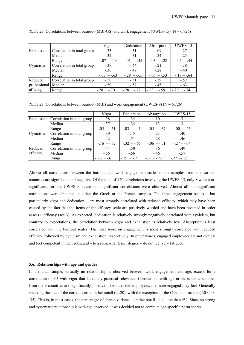|                     |                            | Vigor          | Dedication     | Absorption     | <b>UWES-15</b> |
|---------------------|----------------------------|----------------|----------------|----------------|----------------|
| Exhaustion          | Correlation in total group | $-.33$         | $-.31$         | $-.09$         | $-.27$         |
|                     | Median                     | $-.32$         | $-31$          | $-24$          | $-.25$         |
|                     | Range                      | $-.07 - .49$   | $-0.01 - 0.45$ | $-.03 - .28$   | $-0.02 - 0.44$ |
| Cynicism            | Correlation in total group | $-37$          | $-44$          | $-.21$         | $-.38$         |
|                     | Median                     | $-.36$         | $-49$          | $-.28$         | $-.40$         |
|                     | Range                      | $-0.03 - 0.63$ | $-.29 - .65$   | $-0.06 - 0.53$ | $-17 - -64$    |
| Reduced             | Correlation in total group | $-.50$         | $-.51$         | $-.39$         | $-.52$         |
| professional Median |                            | $-.59$         | $-.57$         | $-45$          | $-.63$         |
| efficacy            | Range                      | $-.28 - .70$   | $-.28 - .72$   | $-23 - 59$     | $-.29 - .74$   |

*Table 23*: Correlations between burnout (MBI-GS) and work engagement (UWES-15) ( $N = 6,726$ )

*Table 24*: Correlations between burnout (MBI) and work engagement (UWES-9) ( $N = 6,726$ )

|          |                                         | Vigor          | Dedication     | Absorption     | <b>UWES-15</b> |
|----------|-----------------------------------------|----------------|----------------|----------------|----------------|
|          | Exhaustion   Correlation in total group | $-.38$         | $-.34$         | $-.10$         | $-.31$         |
|          | Median                                  | $-.37$         | $-34$          | $-13$          | $-.31$         |
|          | Range                                   | $-0.05 - 0.51$ | $-0.03 - 0.41$ | $-0.05 - 0.37$ | $-0.00 - 0.45$ |
| Cynicism | Correlation in total group              | $-0.39$        | $-45$          | $-.23$         | $-.40$         |
|          | Median                                  | $-42$          | $-51$          | $-28$          | $-.46$         |
|          | Range                                   | $-16 - 62$     | $-.32 - .65$   | $-0.06 - 0.51$ | $-.27 - .64$   |
| Reduced  | Correlation in total group              | $-44$          | $-.50$         | $-.36$         | $-0.49$        |
| efficacy | Median                                  | $-.56$         | $-.56$         | $-46$          | $-.57$         |
|          | Range                                   | $-.26 - .61$   | $-39 - 71$     | $-.31 - .56$   | $-.27-.68$     |

Almost all correlations between the burnout and work engagement scales in the samples from the various countries are significant and negative. Of the total of 120 correlations involving the UWES-15, only 8 were nonsignificant, for the UWES-9, seven non-significant correlations were observed. Almost all non-significant correlations were obtained in either the Greek or the French samples. The three engagement scales – but particularly vigor and dedication – are most strongly correlated with reduced efficacy, which may have been caused by the fact that the items of the efficacy scale are positively worded and have been reversed in order assess *in*efficacy (see 3). As expected, dedication is relatively strongly negatively correlated with cynicism, but contrary to expectations, the correlation between vigor and exhaustion is relatively low. Absorption is least correlated with the burnout scales. The total score on engagement is most strongly correlated with reduced efficacy, followed by cynicism and exhaustion, respectively. In other words, engaged employees are not cynical and feel competent in their jobs, and – to a somewhat lesser degree – do not feel very fatigued.

#### **5.6. Relationships with age and gender**

In the total sample, virtually no relationship is observed between work engagement and age; except for a correlation of .05 with vigor that lacks any practical relevance. Correlations with age in the separate samples from the 9 countries are significantly positive. The older the employees, the more engaged they feel. Generally speaking the size of the correlations is rather small  $(< .20)$ , with the exception of the Canadian sample (.30 < r  $<$ .35). This is, in most cases, the percentage of shared variance is rather small – i.e., less than 4%. Since no strong and systematic relationship is with age observed, it was decided not to compute age-specific norm scores.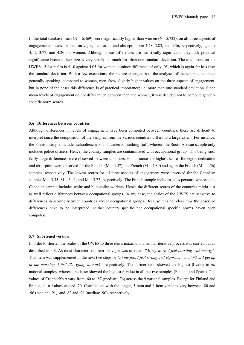In the total database, men ( $N = 6,469$ ) score significantly higher than women ( $N = 5,722$ ), on all three aspects of engagement: means for men on vigor, dedication and absorption are 4.28, 3.83, and 4.36, respectively, against 4.11, 3.77, and 4.26 for women. Although these differences are statistically significant, they lack practical significance because their size is very small; i.e. much less than one standard deviation. The total-score on the UWES-15 for males is 4.10 against 4.05 for women; a minor difference of only .05, which is again far less than the standard deviation. With a few exceptions, the picture emerges from the analyses of the separate samples: generally speaking, compared to women, men show slightly higher values on the three aspects of engagement, but in none of the cases this difference is of practical importance; i.e. more than one standard deviation. Since mean levels of engagement do not differ much between men and woman, it was decided not to compute genderspecific norm scores.

#### **5.6 Differences between countries**

Although differences in levels of engagement have been computed between countries, these are difficult to interpret since the composition of the samples from the various countries differs to a large extent. For instance, the Finnish sample includes schoolteachers and academic teaching staff, whereas the South African sample only includes police officers. Hence, the country samples are contaminated with occupational group. This being said, fairly large differences were observed between countries. For instance the highest scores for vigor, dedication and absorption were observed for the Finnish (M = 4.57), the French (M = 4,80) and again the French (M = 4.56) samples, respectively. The lowest scores for all three aspects of engagement were observed for the Canadian sample:  $M = 3.35$ ,  $M = 3.41$ , and  $M = 3.72$ , respectively. The French sample includes sales persons, whereas the Canadian sample includes white and blue-collar workers. Hence the different scores of the countries might just as well reflect differences between occupational groups. In any case, the scales of the UWES are sensitive to differences in scoring between countries and/or occupational groups. Because it is not clear how the observed differences have to be interpreted, neither country specific nor occupational specific norms haven been computed.

#### **5.7 Shortened version**

In order to shorten the scales of the UWES to three items maximum, a similar iterative process was carried out as described in 4.8. As most characteristic item for vigor was selected: *''At my work, I feel bursting with energy*'. This item was supplemented in the next two steps by '*At my job, I feel strong and vigorous'*, and '*When I get up in the morning, I feel like going to work*', respectively. The former item showed the highest β-value in *all*  national samples, whereas the latter showed the highest β-value in all but two samples (Finland and Spain). The values of Cronbach's α vary from .60 to .87 (median: .76) across the 9 national samples. Except for Finland and France, all α–values exceed .70. Correlations with the longer, 5-item and 6-item versions vary between .80 and .96 (median: .91), and .82 and .96 (median: .90), respectively.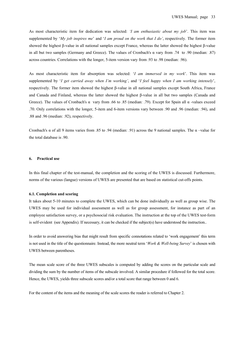As most characteristic item for dedication was selected: *'I am enthusiastic about my job*'. This item was supplemented by '*My job inspires me*' and '*I am proud on the work that I do'*, respectively. The former item showed the highest β-value in all national samples except France, whereas the latter showed the highest β-value in all but two samples (Germany and Greece). The values of Cronbach's α vary from .74 to .90 (median: .87) across countries. Correlations with the longer, 5-item version vary from .93 to .98 (median: .96).

As most characteristic item for absorption was selected: '*I am immersed in my work*'. This item was supplemented by '*I get carried away when I'm working'*, and '*I feel happy when I am working intensely*', respectively. The former item showed the highest β-value in all national samples except South Africa, France and Canada and Finland, whereas the latter showed the highest β-value in all but two samples (Canada and Greece). The values of Cronbach's  $\alpha$  vary from .66 to .85 (median: .79). Except for Spain all  $\alpha$  -values exceed .70. Only correlations with the longer, 5-item and 6-item versions vary between .90 and .96 (median: .94), and .88 and .96 (median: .92), respectively.

Cronbach's α of all 9 items varies from .85 to .94 (median: .91) across the 9 national samples. The α –value for the total database is .90.

#### **6. Practical use**

In this final chapter of the test-manual, the completion and the scoring of the UWES is discussed. Furthermore, norms of the various (langue) versions of UWES are presented that are based on statistical cut-offs points.

#### **6.1. Completion and scoring**

It takes about 5-10 minutes to complete the UWES, which can be done individually as well as group wise. The UWES may be used for individual assessment as well as for group assessment, for instance as part of an employee satisfaction survey, or a psychosocial risk evaluation. The instruction at the top of the UWES test-form is self-evident (see Appendix). If necessary, it can be checked if the subject(s) have understood the instruction..

In order to avoid answering bias that might result from specific connotations related to 'work engagement' this term is not used in the title of the questionnaire. Instead, the more neutral term '*Work & Well-being Survey*' is chosen with UWES between parentheses.

The mean scale score of the three UWES subscales is computed by adding the scores on the particular scale and dividing the sum by the number of items of the subscale involved. A similar procedure if followed for the total score. Hence, the UWES, yields three subscale scores and/or a total score that range between 0 and 6.

For the content of the items and the meaning of the scale scores the reader is referred to Chapter 2.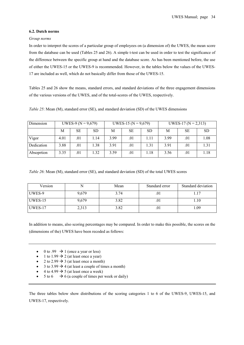#### **6.2. Dutch norms**

#### *Group norms*

In order to interpret the scores of a particular group of employees on (a dimension of) the UWES, the mean score from the database can be used (Tables 25 and 26). A simple t-test can be used in order to test the significance of the difference between the specific group at hand and the database score. As has been mentioned before, the use of either the UWES-15 or the UWES-9 is recommended. However, in the tables below the values of the UWES-17 are included as well, which do not basically differ from those of the UWES-15.

Tables 25 and 26 show the means, standard errors, and standard deviations of the three engagement dimensions of the various versions of the UWES, and of the total-scores of the UWES, respectively.

*Table 25*: Mean (M), standard error (SE), and standard deviation (SD) of the UWES dimensions

| Dimension  | UWES-9 ( $N = 9,679$ ) |           |           |      | UWES-15 ( $N = 9,679$ ) |           | UWES-17 ( $N = 2,313$ ) |           |           |
|------------|------------------------|-----------|-----------|------|-------------------------|-----------|-------------------------|-----------|-----------|
|            | Μ                      | <b>SE</b> | <b>SD</b> | М    | <b>SE</b>               | <b>SD</b> | М                       | <b>SE</b> | <b>SD</b> |
| Vigor      | 4.01                   | .01       | 1.14      | 3.99 | .01                     | 1.11      | 3.99                    | .01       | 1.08      |
| Dedication | 3.88                   | .01       | 1.38      | 3.91 | .01                     | 1.31      | 3.91                    | .01       | 1.31      |
| Absoprtion | 3.35                   | .01       | 1.32      | 3.59 | .01                     | 1.18      | 3.56                    | .01       | 1.18      |

*Table 26*: Mean (M), standard error (SE), and standard deviation (SD) of the total UWES scores

| Version        |       | Mean | Standard error | Standard deviation |  |
|----------------|-------|------|----------------|--------------------|--|
| UWES-9         | 9.679 | 3.74 |                |                    |  |
| <b>UWES-15</b> | 9.679 | 3.82 | .UI            | 1.10               |  |
| UWES-17        | 2,313 | 3.82 |                | 0.09               |  |

In addition to means, also scoring percentages may be compared. In order to make this possible, the scores on the (dimensions of the) UWES have been recoded as follows:

- 0 to .99  $\rightarrow$  1 (once a year or less)
- 1 to 1.99  $\rightarrow$  2 (at least once a year)
- 2 to 2.99  $\rightarrow$  3 (at least once a month)
- 3 to 3.99  $\rightarrow$  4 (at least a couple of times a month)
- 4 to 4.99  $\rightarrow$  5 (at least once a week)
- $5 \text{ to } 6 \rightarrow 6$  (a couple of times per week or daily)

The three tables below show distributions of the scoring categories 1 to 6 of the UWES-9, UWES-15, and UWES-17, respectively.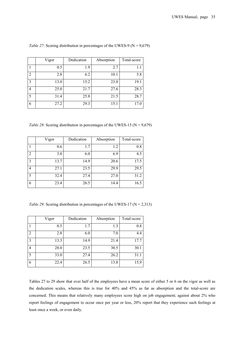|                | Vigor | Dedication | Absorption | Total-score |
|----------------|-------|------------|------------|-------------|
|                | 0.5   | 1.9        | 2.7        | 1.1         |
| 2              | 2.8   | 6.2        | 10.1       | 5.8         |
| 3              | 13.0  | 15.2       | 23.0       | 19.1        |
| $\overline{4}$ | 25.0  | 21.7       | 27.6       | 28.3        |
| 5              | 31.4  | 25.8       | 21.5       | 28.7        |
| 6              | 27.2  | 29.3       | 15.1       | 17.0        |

*Table 27*: Scoring distribution in percentages of the UWES-9 ( $N = 9,679$ )

*Table 28*: Scoring distribution in percentages of the UWES-15 ( $N = 9,679$ )

|                | Vigor | Dedication | Absorption | Total-score |
|----------------|-------|------------|------------|-------------|
|                | 0.6   | 1.7        | 1.2        | 0.8         |
| $\overline{2}$ | 3.0   | 6.0        | 6.9        | 4.5         |
| 3              | 13.7  | 14.9       | 20.6       | 17.5        |
| $\overline{4}$ | 27.1  | 23.5       | 29.9       | 29.5        |
| 5              | 32.4  | 27.4       | 27.0       | 31.2        |
| 6              | 23.4  | 26.5       | 14.4       | 16.5        |

*Table 29*: Scoring distribution in percentages of the UWES-17 ( $N = 2,313$ )

|                | Vigor | Dedication | Absorption | Total-score |
|----------------|-------|------------|------------|-------------|
|                | 0.5   | 1.7        | 1.3        | 0.8         |
| $\overline{2}$ | 2.8   | 6.0        | 7.0        | 4.4         |
| 3              | 13.3  | 14.9       | 21.4       | 17.7        |
| 4              | 28.0  | 23.5       | 30.5       | 30.1        |
| 5              | 33.0  | 27.4       | 26.2       | 31.1        |
| 6              | 22.4  | 26.5       | 13.8       | 15,9        |

Tables 27 to 29 show that over half of the employees have a mean score of either 5 or 6 on the vigor as well as the dedication scales, whereas this is true for 40% and 45% as far as absorption and the total-score are concerned. This means that relatively many employees score high on job engagement; against about 2% who report feelings of engagement to occur once per year or less, 20% report that they experience such feelings at least once a week, or even daily.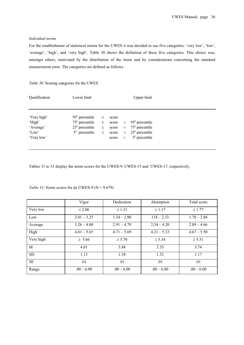# *Individual norms*

For the establishment of statistical norms for the UWES it was decided to use five categories: 'very low', 'low', 'average', 'high', and 'very high'. Table 30 shows the definition of these five categories. This choice was, amongst others, motivated by the distribution of the items and by considerations concerning the standard measurement error. The categories are defined as follows.

| Table 30: Scoring categories for the UWES                 |                                                                                                           |                  |                                           |                                    |                                                                                |  |  |  |
|-----------------------------------------------------------|-----------------------------------------------------------------------------------------------------------|------------------|-------------------------------------------|------------------------------------|--------------------------------------------------------------------------------|--|--|--|
| Qualification                                             | Lower limit                                                                                               |                  |                                           |                                    | Upper limit                                                                    |  |  |  |
| 'Very high'<br>'High'<br>'Average'<br>'Low'<br>'Very low' | $95^e$ percentile<br>$75^{\circ}$ percentile $\leq$<br>$25^{\circ}$ percentile $\leq$<br>$5^e$ percentile | $\leq$<br>$\leq$ | score<br>score<br>score<br>score<br>score | $\lt$<br>$\lt$<br>$\lt$<br>$\,<\,$ | $95^e$ percentile<br>$75e$ percentile<br>$25^e$ percentile<br>$5^e$ percentile |  |  |  |
|                                                           |                                                                                                           |                  |                                           |                                    |                                                                                |  |  |  |

Tables 31 to 33 display the norm scores for the UWES-9, UWES-15 and UWES-17, respectively.

|           | Vigor         | Dedication    | Absorption    | Total score   |
|-----------|---------------|---------------|---------------|---------------|
| Very low  | $\leq 2.00$   | $\leq 1.33$   | $\leq 1.17$   | $\leq 1.77$   |
| Low       | $2.01 - 3.25$ | $1.34 - 2.90$ | $118 - 2.33$  | $1.78 - 2.88$ |
| Average   | $3.26 - 4.80$ | $2.91 - 4.70$ | $2,34 - 4.20$ | $2.89 - 4.66$ |
| High      | $4.81 - 5.65$ | $4.71 - 5.69$ | $4.21 - 5.33$ | $4.67 - 5.50$ |
| Very high | $\geq 5.66$   | $\ge 5.70$    | $\geq 5.34$   | $\ge 5.51$    |
| M         | 4.01          | 3.88          | 3.35          | 3.74          |
| <b>SD</b> | 1.13          | 1.38          | 1.32          | 1.17          |
| <b>SE</b> | .01           | .01           | .01           | .01           |
| Range     | $.00 - 6.00$  | $.00 - 6.00$  | $.00 - 6.00$  | $.00 - 6.00$  |

*Table 31*: Norm scores for de UWES-9 ( $N = 9,679$ )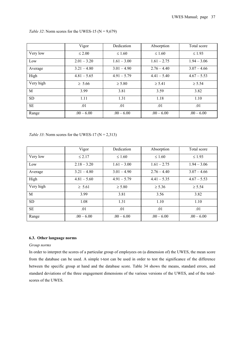|           | Vigor         | Dedication    | Absorption    | Total score   |
|-----------|---------------|---------------|---------------|---------------|
| Very low  | $\leq 2.00$   | $\leq 1.60$   | $\leq 1.60$   | $\leq$ 1.93   |
| Low       | $2.01 - 3.20$ | $1.61 - 3.00$ | $1.61 - 2.75$ | $1.94 - 3.06$ |
| Average   | $3.21 - 4.80$ | $3.01 - 4.90$ | $2.76 - 4.40$ | $3.07 - 4.66$ |
| High      | $4.81 - 5.65$ | $4.91 - 5.79$ | $4.41 - 5.40$ | $4.67 - 5.53$ |
| Very high | $\geq 5.66$   | $\geq 5.80$   | $\geq 5.41$   | $\geq 5.54$   |
| M         | 3.99          | 3.81          | 3.59          | 3.82          |
| <b>SD</b> | 1.11          | 1.31          | 1.18          | 1.10          |
| SE        | .01           | .01           | .01           | .01           |
| Range     | $.00 - 6.00$  | $.00 - 6.00$  | $.00 - 6.00$  | $.00 - 6.00$  |

*Table 32*: Norm scores for the UWES-15 ( $N = 9,679$ )

*Table 33*: Norm scores for the UWES-17 ( $N = 2,313$ )

|           | Vigor         | Dedication    | Absorption    | Total score   |
|-----------|---------------|---------------|---------------|---------------|
| Very low  | $\leq 2.17$   | $\leq 1.60$   | $\leq 1.60$   | $\leq 1.93$   |
| Low       | $2.18 - 3.20$ | $1.61 - 3.00$ | $1.61 - 2.75$ | $1.94 - 3.06$ |
| Average   | $3.21 - 4.80$ | $3.01 - 4.90$ | $2.76 - 4.40$ | $3.07 - 4.66$ |
| High      | $4.81 - 5.60$ | $4.91 - 5.79$ | $4.41 - 5.35$ | $4.67 - 5.53$ |
| Very high | $\geq 5.61$   | $\geq 5.80$   | $\ge 5.36$    | $\ge 5.54$    |
| M         | 3.99          | 3.81          | 3.56          | 3.82          |
| <b>SD</b> | 1.08          | 1.31          | 1.10          | 1.10          |
| <b>SE</b> | .01           | .01           | .01           | .01           |
| Range     | $.00 - 6.00$  | $.00 - 6.00$  | $.00 - 6.00$  | $.00 - 6.00$  |

# **6.3. Other language norms**

# *Group norms*

In order to interpret the scores of a particular group of employees on (a dimension of) the UWES, the mean score from the database can be used. A simple t-test can be used in order to test the significance of the difference between the specific group at hand and the database score. Table 34 shows the means, standard errors, and standard deviations of the three engagement dimensions of the various versions of the UWES, and of the totalscores of the UWES.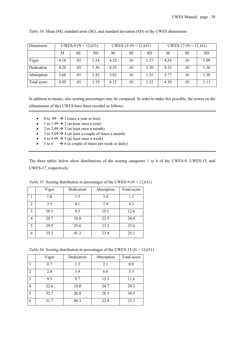| Dimension   | UWES-9 ( $N = 12,631$ ) |     |           | UWES-15 ( $N = 12,631$ ) |           |           | UWES-17 ( $N = 12,161$ ) |     |           |
|-------------|-------------------------|-----|-----------|--------------------------|-----------|-----------|--------------------------|-----|-----------|
|             | М                       | SЕ  | <b>SD</b> | М                        | <b>SE</b> | <b>SD</b> | М                        | SE  | <b>SD</b> |
| Vigor       | 4.18                    | .01 | 1.24      | 4.22                     | .01       | 1.37      | 4.24                     | .01 | 1.09      |
| Dedication  | 4.28                    | .01 | 1.36      | 4.33                     | .01       | 1.30      | 4.33                     | .01 | 1.36      |
| Absorption  | 3.68                    | .01 | 1.43      | 3.82                     | .01       | 1.31      | 3.77                     | .01 | 1.28      |
| Total score | 4.05                    | .01 | 1.19      | 4.12                     | .01       | 1.12      | 4.10                     | .01 | 1.11      |

*Table 34*: Mean (M), standard error (SE), and standard deviation (SD) of the UWES dimensions

In addition to means, also scoring percentages may be compared. In order to make this possible, the scores on the (dimensions of the) UWES have been recoded as follows:

- 0 to .99  $\rightarrow$  1 (once a year or less)
- 1 to 1.99  $\rightarrow$  2 (at least once a year)
- 2 to 2.99  $\rightarrow$  3 (at least once a month)
- 3 to 3.99  $\rightarrow$  4 (at least a couple of times a month)
- 4 to 4.99  $\rightarrow$  5 (at least once a week)
- $5 \text{ to } 6 \rightarrow 6$  (a couple of times per week or daily)

The three tables below show distributions of the scoring categories 1 to 6 of the UWES-9, UWES-15, and UWES-17, respectively.

|   | Vigor | Dedication | Absorption | Total-score |
|---|-------|------------|------------|-------------|
|   | 1.0   | 1.5        | 3.0        | 1.1         |
| 2 | 3.5   | 4.1        | 7.4        | 4.3         |
| 3 | 10.1  | 9.5        | 15.1       | 12.6        |
| 4 | 20.7  | 18.0       | 22.5       | 24.4        |
| 5 | 29.5  | 25.6       | 23.3       | 32.6        |
| 6 | 35.3  | 41.3       | 23.4       | 25.1        |

*Table 35*: Scoring distribution in percentages of the UWES-9 ( $N = 12,631$ )

*Table 36*: Scoring distribution in percentages of the UWES-15 ( $N = 12,631$ )

|                | Vigor | Dedication | Absorption | Total-score |
|----------------|-------|------------|------------|-------------|
|                | 0.7   | 1.3        | 2.1        | 0.8         |
| $\overline{2}$ | 2.8   | 3.9        | 6.6        | 3.5         |
| 3              | 9.5   | 9.7        | 15.3       | 11.6        |
| 4              | 22.6  | 18.0       | 24.7       | 24.1        |
| 5              | 32.7  | 26.8       | 28.5       | 34.5        |
| 6              | 31.7  | 40.3       | 22.9       | 25.5        |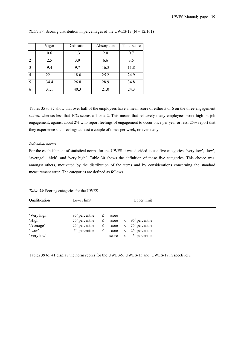|   | Vigor | Dedication | Absorption | Total-score |
|---|-------|------------|------------|-------------|
|   | 0.6   | 1.3        | 2.0        | 0.7         |
| 2 | 2.5   | 3.9        | 6.6        | 3.5         |
| 3 | 9.4   | 9.7        | 16.3       | 11.8        |
| 4 | 22.1  | 18.0       | 25.2       | 24.9        |
| 5 | 34.4  | 26.8       | 28.9       | 34.8        |
| 6 | 31.1  | 40.3       | 21.0       | 24.3        |

#### *Table 37*: Scoring distribution in percentages of the UWES-17 ( $N = 12,161$ )

Tables 35 to 37 show that over half of the employees have a mean score of either 5 or 6 on the three engagement scales, whereas less that 10% scores a 1 or a 2. This means that relatively many employees score high on job engagement; against about 2% who report feelings of engagement to occur once per year or less, 25% report that they experience such feelings at least a couple of times per week, or even daily.

#### *Individual norms*

For the establishment of statistical norms for the UWES it was decided to use five categories: 'very low', 'low', 'average', 'high', and 'very high'. Table 30 shows the definition of these five categories. This choice was, amongst others, motivated by the distribution of the items and by considerations concerning the standard measurement error. The categories are defined as follows.

#### *Table 38*: Scoring categories for the UWES

| Qualification                                             | Lower limit                                                                                       |                            |                                               |         | Upper limit                                                                                               |  |
|-----------------------------------------------------------|---------------------------------------------------------------------------------------------------|----------------------------|-----------------------------------------------|---------|-----------------------------------------------------------------------------------------------------------|--|
| 'Very high'<br>'High'<br>'Average'<br>'Low'<br>'Very low' | $95^e$ percentile<br>$75^{\circ}$ percentile $\leq$<br>$25^{\circ}$ percentile<br>$5e$ percentile | $\leq$<br>$\leq$<br>$\leq$ | score<br>$score \leq$<br>score $\lt$<br>score | $\prec$ | score $\lt$ 95 <sup>e</sup> percentile<br>$75e$ percentile<br>$25^{\circ}$ percentile<br>$5^e$ percentile |  |

Tables 39 to. 41 display the norm scores for the UWES-9, UWES-15 and UWES-17, respectively.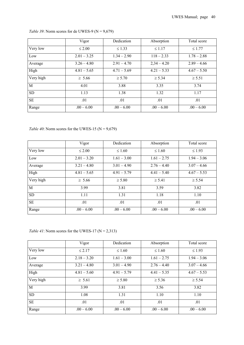|              | Vigor         | Dedication    | Absorption    | Total score   |
|--------------|---------------|---------------|---------------|---------------|
| Very low     | $\leq 2.00$   | $\leq 1.33$   | $\leq 1.17$   | $\leq 1.77$   |
| Low          | $2.01 - 3.25$ | $1.34 - 2.90$ | $118 - 2.33$  | $1.78 - 2.88$ |
| Average      | $3.26 - 4.80$ | $2.91 - 4.70$ | $2,34 - 4.20$ | $2.89 - 4.66$ |
| High         | $4.81 - 5.65$ | $4.71 - 5.69$ | $4.21 - 5.33$ | $4.67 - 5.50$ |
| Very high    | $\geq 5.66$   | $\ge 5.70$    | $\geq 5.34$   | $\ge 5.51$    |
| $\mathbf{M}$ | 4.01          | 3.88          | 3.35          | 3.74          |
| <b>SD</b>    | 1.13          | 1.38          | 1.32          | 1.17          |
| <b>SE</b>    | .01           | .01           | .01           | .01           |
| Range        | $.00 - 6.00$  | $.00 - 6.00$  | $.00 - 6.00$  | $.00 - 6.00$  |

# *Table 39*: Norm scores for de UWES-9 ( $N = 9,679$ )

*Table 40*: Norm scores for the UWES-15 ( $N = 9,679$ )

|           | Vigor         | Dedication    | Absorption    | Total score   |
|-----------|---------------|---------------|---------------|---------------|
| Very low  | $\leq 2.00$   | $\leq 1.60$   | $\leq 1.60$   | $\leq 1.93$   |
| Low       | $2.01 - 3.20$ | $1.61 - 3.00$ | $1.61 - 2.75$ | $1.94 - 3.06$ |
| Average   | $3.21 - 4.80$ | $3.01 - 4.90$ | $2.76 - 4.40$ | $3.07 - 4.66$ |
| High      | $4.81 - 5.65$ | $4.91 - 5.79$ | $4.41 - 5.40$ | $4.67 - 5.53$ |
| Very high | $\geq 5.66$   | $\geq 5.80$   | $\geq 5.41$   | $\geq 5.54$   |
| M         | 3.99          | 3.81          | 3.59          | 3.82          |
| <b>SD</b> | 1.11          | 1.31          | 1.18          | 1.10          |
| <b>SE</b> | .01           | .01           | .01           | .01           |
| Range     | $.00 - 6.00$  | $.00 - 6.00$  | $.00 - 6.00$  | $.00 - 6.00$  |

# *Table 41*: Norm scores for the UWES-17 ( $N = 2,313$ )

|           | Vigor         | Dedication    | Absorption    | Total score   |
|-----------|---------------|---------------|---------------|---------------|
| Very low  | $\leq 2.17$   | $\leq 1.60$   | $\leq 1.60$   | $\leq 1.93$   |
| Low       | $2.18 - 3.20$ | $1.61 - 3.00$ | $1.61 - 2.75$ | $1.94 - 3.06$ |
| Average   | $3.21 - 4.80$ | $3.01 - 4.90$ | $2.76 - 4.40$ | $3.07 - 4.66$ |
| High      | $4.81 - 5.60$ | $4.91 - 5.79$ | $4.41 - 5.35$ | $4.67 - 5.53$ |
| Very high | $\geq 5.61$   | $\geq 5.80$   | $\ge 5.36$    | $\ge 5.54$    |
| M         | 3.99          | 3.81          | 3.56          | 3.82          |
| <b>SD</b> | 1.08          | 1.31          | 1.10          | 1.10          |
| <b>SE</b> | .01           | .01           | .01           | .01           |
| Range     | $.00 - 6.00$  | $.00 - 6.00$  | $.00 - 6.00$  | $.00 - 6.00$  |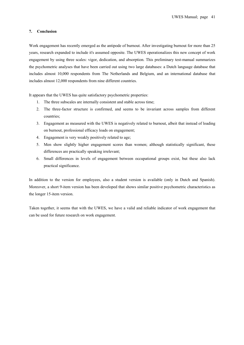#### **7. Conclusion**

Work engagement has recently emerged as the antipode of burnout. After investigating burnout for more than 25 years, research expanded to include it's assumed opposite. The UWES operationalizes this new concept of work engagement by using three scales: vigor, dedication, and absorption. This preliminary test-manual summarizes the psychometric analyses that have been carried out using two large databases: a Dutch language database that includes almost 10,000 respondents from The Netherlands and Belgium, and an international database that includes almost 12,000 respondents from nine different countries.

It appears that the UWES has quite satisfactory psychometric properties:

- 1. The three subscales are internally consistent and stable across time;
- 2. The three-factor structure is confirmed, and seems to be invariant across samples from different countries;
- 3. Engagement as measured with the UWES is negatively related to burnout, albeit that instead of loading on burnout, professional efficacy loads on engagement;
- 4. Engagement is very weakly positively related to age;
- 5. Men show slightly higher engagement scores than women; although statistically significant, these differences are practically speaking irrelevant;
- 6. Small differences in levels of engagement between occupational groups exist, but these also lack practical significance.

In addition to the version for employees, also a student version is available (only in Dutch and Spanish). Moreover, a short 9-item version has been developed that shows similar positive psychometric characteristics as the longer 15-item version.

Taken together, it seems that with the UWES, we have a valid and reliable indicator of work engagement that can be used for future research on work engagement.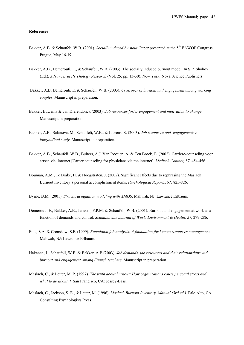#### **References**

- Bakker, A.B. & Schaufeli, W.B. (2001). *Socially induced burnout*. Paper presented at the 5<sup>th</sup> EAWOP Congress, Prague, May 16-19.
- Bakker, A.B., Demerouti, E., & Schaufeli, W.B. (2003). The socially induced burnout model. In S.P. Shohov (Ed.), *Advances in Psychology Research* (Vol. 25; pp. 13-30). New York: Nova Science Publishers
- Bakker, A.B. Demerouti, E. & Schaufeli, W.B. (2003). *Crossover of burnout and engagement among working couples*. Manuscript in preparation.
- Bakker, Euwema & van Dierendonck (2003). *Job resources foster engagement and motivation to change*. Manuscript in preparation.
- Bakker, A.B., Salanova, M., Schaufeli, W.B., & Llorens, S. (2003). *Job resources and engagement: A longitudinal study.* Manuscript in preparation.
- Bakker, A.B., Schaufeli, W.B., Bulters, A.J. Van Rooijen, A. & Ten Broek, E. (2002). Carrière-counseling voor artsen via internet [Career counseling for physicians via the internet]. *Medisch Contact, 57*, 454-456.
- Bouman, A.M., Te Brake, H. & Hoogstraten, J. (2002). Significant effects due to rephrasing the Maslach Burnout Inventory's personal accomplishment items. *Psychological Reports, 91*, 825-826.
- Byrne, B.M. (2001). *Structural equation modeling with AMOS*. Mahwah, NJ: Lawrance Erlbaum.
- Demerouti, E., Bakker, A.B., Janssen, P.P.M. & Schaufeli, W.B. (2001). Burnout and engagement at work as a function of demands and control. *Scandinavian Journal of Work, Environment & Health, 27*, 279-286.
- Fine, S.A. & Cronshaw, S.F. (1999). *Functional job analysis: A foundation for human resources management*. Mahwah, NJ: Lawrance Erlbaum.
- Hakanen, J., Schaufeli, W.B. & Bakker, A.B.(2003). *Job demands, job resources and their relationships with burnout and engagement among Finnish teachers*. Manuscript in preparation..
- Maslach, C., & Leiter, M. P. (1997). *The truth about burnout: How organizations cause personal stress and what to do about it.* San Francisco, CA: Jossey-Bass.
- Maslach, C., Jackson, S. E., & Leiter, M. (1996). *Maslach Burnout Inventory. Manual (3rd ed.)*. Palo Alto, CA: Consulting Psychologists Press.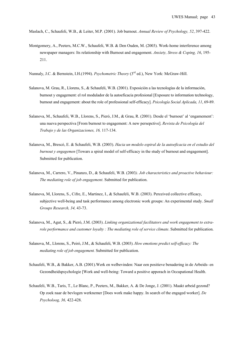Maslach, C., Schaufeli, W.B., & Leiter, M.P. (2001). Job burnout. *Annual Review of Psychology, 52*, 397-422.

Montgomery, A., Peeters, M.C.W., Schaufeli, W.B. & Den Ouden, M. (2003). Work-home interference among newspaper managers: Its relationship with Burnout and engagement. *Anxiety, Stress & Coping, 16*, 195- 211.

Nunnaly, J.C. & Bernstein, I.H.(1994). *Psychometric Theory* (3<sup>rd</sup> ed.), New York: McGraw-Hill.

- Salanova, M. Grau, R., Llorens, S., & Schaufeli, W.B. (2001). Exposición a las tecnologías de la información, burnout y engagement: el rol modulador de la autoeficacia profesional [Exposure to information technology, burnout and engagement: about the role of professional self-efficacy]. *Psicología Social Aplicada, 11*, 69-89.
- Salanova, M., Schaufeli, W.B., Llorens, S., Pieró, J.M., & Grau, R. (2001). Desde el 'burnout' al 'engamement': una nueva perspectiva [From burnout to engagement: A new persepctive]. *Revista de Psicología del Trabajo y de las Organizaciones, 16,* 117-134.
- Salanova, M., Brescó, E. & Schaufeli, W.B. (2003). *Hacia un modelo espiral de la autoeficacia en el estudio del burnout y engagemen* [Towars a spiral model of self-efficacy in the study of burnout and engagement]. Submitted for publication.
- Salanova, M., Carrero, V., Pinanzo, D., & Schaufeli, W.B. (2003*). Job characteristics and proactive behaviour: The mediating role of job engagement*. Submitted for publication.
- Salanova, M, Llorens, S., Cifre, E., Martinez, I., & Schaufeli, W.B. (2003). Perceived collective efficacy, subjective well-being and task performance among electronic work groups: An experimental study. *Small Groups Research, 34,* 43-73.
- Salanova, M., Agut, S., & Pieró, J.M. (2003). *Linking organizational facilitators and work engagement to extrarole performance and customer loyalty : The mediating role of service climate.* Submitted for publication.
- Salanova, M., Llorens, S., Peiró, J.M., & Schaufeli, W.B. (2003). *How emotions predict self-efficacy: The mediating role of job engagement.* Submitted for publication.
- Schaufeli, W.B., & Bakker, A.B. (2001).Werk en welbevinden: Naar een positieve benadering in de Arbeids- en Gezondheidspsychologie [Work and well-being: Toward a positive apporach in Occupational Health.
- Schaufeli, W.B., Taris, T., Le Blanc, P., Peeters, M., Bakker, A. & De Jonge, J. (2001). Maakt arbeid gezond? Op zoek naar de bevlogen werknemer [Does work make happy. In search of the engaged worker]. *De Psycholoog, 36,* 422-428.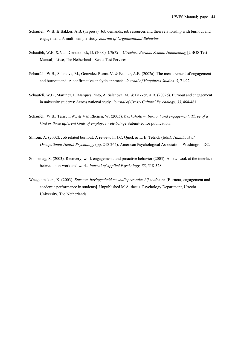- Schaufeli, W.B. & Bakker, A.B. (in press). Job demands, job resources and their relationship with burnout and engagement: A multi-sample study. *Journal of Organizational Behavior*.
- Schaufeli, W.B. & Van Dierendonck, D. (2000). *UBOS -- Utrechtse Burnout Schaal. Handleiding* [UBOS Test Manual]. Lisse, The Netherlands: Swets Test Services.
- Schaufeli, W.B., Salanova, M., Gonzalez-Roma. V. & Bakker, A.B. (2002a). The measurement of engagement and burnout and: A confirmative analytic approach. *Journal of Happiness Studies, 3*, 71-92.
- Schaufeli, W.B., Martinez, I., Marques Pinto, A. Salanova, M. & Bakker, A.B. (2002b). Burnout and engagement in university students: Across national study*. Journal of Cross- Cultural Psychology, 33*, 464-481.
- Schaufeli, W.B., Taris, T.W., & Van Rhenen, W. (2003). *Workaholism, burnout and engagement: Three of a kind or three different kinds of employee well-being*? Submitted for publication.
- Shirom, A. (2002). Job related burnout: A review. In J.C. Quick & L. E. Tetrick (Eds.). *Handbook of Occupational Health Psychology* (pp. 245-264). American Psychological Association: Washington DC.
- Sonnentag, S. (2003). Recovery, work engagement, and proactive behavior (2003): A new Look at the interface between non-work and work. *Journal of Applied Psychology, 88*, 518-528.
- Waegenmakers, K. (2003). *Burnout, bevlogenheid en studieprestaties bij studenten* [Burnout, engagement and academic performance in students]. Unpublished M.A. thesis. Psychology Department, Utrecht University, The Netherlands.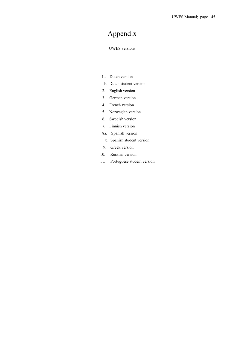# Appendix

#### UWES versions

- 1a. Dutch version
- b. Dutch student version
- 2. English version
- 3. German version
- 4. French version
- 5. Norwegian version
- 6. Swedish version
- 7. Finnish version
- 8a. Spanish version
- b. Spanish student version
- 9. Greek version
- 10. Russian version
- 11. Portuguese student version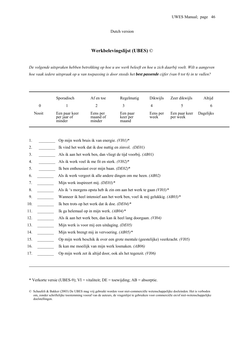## Dutch version

# **Werkbelevingslijst (UBES)** ©

*De volgende uitspraken hebben betrekking op hoe u uw werk beleeft en hoe u zich daarbij voelt. Wilt u aangeven hoe vaak iedere uitspraak op u van toepassing is door steeds het best passende cijfer (van 0 tot 6) in te vullen?* 

|                                                                                                     |                           | Sporadisch                                                                                                                                                                                                                                                                                                                                                                            | Af en toe                           | Regelmatig                                                                                                                                                                                                                                                                                                                                                                                                                                                                                                                                          | Dikwijls                           | Zeer dikwijls                  | Altijd         |
|-----------------------------------------------------------------------------------------------------|---------------------------|---------------------------------------------------------------------------------------------------------------------------------------------------------------------------------------------------------------------------------------------------------------------------------------------------------------------------------------------------------------------------------------|-------------------------------------|-----------------------------------------------------------------------------------------------------------------------------------------------------------------------------------------------------------------------------------------------------------------------------------------------------------------------------------------------------------------------------------------------------------------------------------------------------------------------------------------------------------------------------------------------------|------------------------------------|--------------------------------|----------------|
|                                                                                                     | $\boldsymbol{0}$<br>Nooit | 1<br>Een paar keer<br>per jaar of<br>minder                                                                                                                                                                                                                                                                                                                                           | 2<br>Eens per<br>maand of<br>minder | 3<br>Een paar<br>keer per<br>maand                                                                                                                                                                                                                                                                                                                                                                                                                                                                                                                  | $\overline{4}$<br>Eens per<br>week | 5<br>Een paar keer<br>per week | 6<br>Dagelijks |
| 1.<br>2.<br>3.<br>4.<br>5.<br>6.<br>7.<br>8.<br>9.<br>10.<br>11.<br>12.<br>13.<br>14.<br>15.<br>16. |                           | Op mijn werk bruis ik van energie. $(VIOI)^*$<br>Als ik werk voel ik me fit en sterk. (VI02)*<br>Ik ben enthousiast over mijn baan. (DE02)*<br>Mijn werk inspireert mij. $(DE03)^*$<br>Ik ben trots op het werk dat ik doe. $(DE04)^*$<br>Ik ga helemaal op in mijn werk. $(AB04)^*$<br>Mijn werk is voor mij een uitdaging. (DE05)<br>Mijn werk brengt mij in vervoering. $(AB05)^*$ |                                     | Ik vind het werk dat ik doe nuttig en zinvol. (DE01)<br>Als ik aan het werk ben, dan vliegt de tijd voorbij. (AB01)<br>Als ik werk vergeet ik alle andere dingen om me heen. (AB02)<br>Als ik 's morgens opsta heb ik zin om aan het werk te gaan $(VI03)^*$<br>Wanneer ik heel intensief aan het werk ben, voel ik mij gelukkig. (AB03)*<br>Als ik aan het werk ben, dan kan ik heel lang doorgaan. (VI04)<br>Op mijn werk beschik ik over een grote mentale (geestelijke) veerkracht. (VI05)<br>Ik kan me moeilijk van mijn werk losmaken. (AB06) |                                    |                                |                |
| 17.                                                                                                 |                           |                                                                                                                                                                                                                                                                                                                                                                                       |                                     | Op mijn werk zet ik altijd door, ook als het tegenzit. (V106)                                                                                                                                                                                                                                                                                                                                                                                                                                                                                       |                                    |                                |                |

\* Verkorte versie (UBES-9); VI = vitaliteit; DE = toewijding; AB = absorptie.

<sup>©</sup> Schaufeli & Bakker (2003) De UBES mag vrij gebruikt worden voor niet-commerciële wetenschappelijke doeleinden. Het is verboden om, zonder schriftelijke toestemming vooraf van de auteurs, de vragenlijst te gebruiken voor commerciële en/of niet-wetenschappelijke doelstellingen.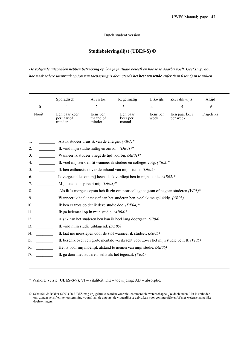#### Dutch student version

# **Studiebelevingslijst (UBES-S) ©**

*De volgende uitspraken hebben betrekking op hoe je je studie beleeft en hoe je je daarbij voelt. Geef s.v.p. aan hoe vaak iedere uitspraak op jou van toepassing is door steeds het best passende cijfer (van 0 tot 6) in te vullen.* 

|       | Sporadisch                             | Af en toe                      | Regelmatig                    | Dikwijls         | Zeer dikwijls             | Altijd    |
|-------|----------------------------------------|--------------------------------|-------------------------------|------------------|---------------------------|-----------|
| 0     |                                        |                                |                               | 4                |                           | O         |
| Nooit | Een paar keer<br>per jaar of<br>minder | Eens per<br>maand of<br>minder | Een paar<br>keer per<br>maand | Eens per<br>week | Een paar keer<br>per week | Dagelijks |

| Als ik studeer bruis ik van de energie. $(VIOI)^*$ |  |
|----------------------------------------------------|--|
|                                                    |  |

- 2. \_\_\_\_\_\_\_\_ Ik vind mijn studie nuttig en zinvol. *(DE01)\**
- 3. \_\_\_\_\_\_\_\_ Wanneer ik studeer vliegt de tijd voorbij. *(AB01)\**
- 4. \_\_\_\_\_\_\_\_ Ik voel mij sterk en fit wanneer ik studeer en colleges volg. *(VI02)\**
- 5. \_\_\_\_\_\_\_\_ Ik ben enthousiast over de inhoud van mijn studie. *(DE02)*
- 6. \_\_\_\_\_\_\_\_ Ik vergeet alles om mij heen als ik verdiept ben in mijn studie. *(AB02)\**
- 7. \_\_\_\_\_\_\_\_ Mijn studie inspireert mij. *(DE03)\**
- 8. \_\_\_\_\_\_\_\_ Als ik 's morgens opsta heb ik zin om naar college te gaan of te gaan studeren *(VI03)\**
- 9. \_\_\_\_\_\_\_\_ Wanneer ik heel intensief aan het studeren ben, voel ik me gelukkig. *(AB03)*
- 10. \_\_\_\_\_\_\_\_ Ik ben er trots op dat ik deze studie doe. *(DE04)\**
- 11. \_\_\_\_\_\_\_\_ Ik ga helemaal op in mijn studie. *(AB04)\**
- 12. \_\_\_\_\_\_\_\_ Als ik aan het studeren ben kan ik heel lang doorgaan. *(VI04)*
- 13. \_\_\_\_\_\_\_\_ Ik vind mijn studie uitdagend. *(DE05)*
- 14. \_\_\_\_\_\_\_\_ Ik laat me meeslepen door de stof wanneer ik studeer. *(AB05)*
- 15. \_\_\_\_\_\_\_\_ Ik beschik over een grote mentale veerkracht voor zover het mijn studie betreft. *(VI05)*
- 16. \_\_\_\_\_\_\_\_ Het is voor mij moeilijk afstand te nemen van mijn studie. *(AB06)*
- 17. \_\_\_\_\_\_\_\_ Ik ga door met studeren, zelfs als het tegenzit. *(VI06)*

\* Verkorte versie (UBES-S-9); VI = vitaliteit; DE = toewijding; AB = absorptie.

<sup>©</sup> Schaufeli & Bakker (2003) De UBES mag vrij gebruikt worden voor niet-commerciële wetenschappelijke doeleinden. Het is verboden om, zonder schriftelijke toestemming vooraf van de auteurs, de vragenlijst te gebruiken voor commerciële en/of niet-wetenschappelijke doelstellingen.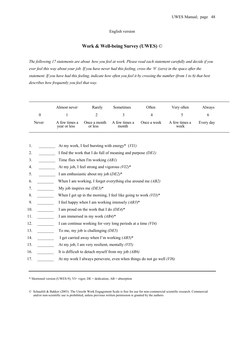#### English version

# **Work & Well-being Survey (UWES)** ©

*The following 17 statements are about how you feel at work. Please read each statement carefully and decide if you ever feel this way about your job. If you have never had this feeling, cross the '0' (zero) in the space after the statement. If you have had this feeling, indicate how often you feel it by crossing the number (from 1 to 6) that best describes how frequently you feel that way.* 

|       | Almost never                  | Rarely                  | Sometimes              | Often       | Very often            | Always    |
|-------|-------------------------------|-------------------------|------------------------|-------------|-----------------------|-----------|
|       |                               |                         |                        |             |                       |           |
| Never | A few times a<br>year or less | Once a month<br>or less | A few times a<br>month | Once a week | A few times a<br>week | Every day |

|  | At my work, I feel bursting with energy* (VII) |  |  |  |
|--|------------------------------------------------|--|--|--|
|--|------------------------------------------------|--|--|--|

- 2. I find the work that I do full of meaning and purpose *(DE1)*
- 3. \_\_\_\_\_\_\_\_ Time flies when I'm working *(AB1)*
- 4. \_\_\_\_\_\_\_\_ At my job, I feel strong and vigorous *(VI2)*\*
- 5. \_\_\_\_\_\_\_\_ I am enthusiastic about my job (*DE2)*\*
- 6. \_\_\_\_\_\_\_\_ When I am working, I forget everything else around me *(AB2)*
- 7. \_\_\_\_\_\_\_\_ My job inspires me *(DE3)*\*
- 8. \_\_\_\_\_\_\_\_ When I get up in the morning, I feel like going to work *(VI3)*\*
- 9. I feel happy when I am working intensely  $(AB3)^*$
- 10. I am proud on the work that I do  $(DE4)^*$
- 11. I am immersed in my work *(AB4)*\*
- 12. I can continue working for very long periods at a time (VI4)
- 13. To me, my job is challenging *(DE5)*
- 14. \_\_\_\_\_\_\_\_ I get carried away when I'm working *(AB5)*\*
- 15. \_\_\_\_\_\_\_\_ At my job, I am very resilient, mentally *(VI5)*
- 16. It is difficult to detach myself from my job *(AB6)*
- 17. \_\_\_\_\_\_\_\_ At my work I always persevere, even when things do not go well *(VI6)*

\* Shortened version (UWES-9); VI= vigor; DE = dedication; AB = absorption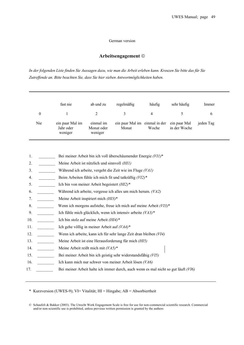# German version

# **Arbeitsengagement** ©

*In der folgenden Liste finden Sie Aussagen dazu, wie man die Arbeit erleben kann. Kreuzen Sie bitte das für Sie Zutreffende an. Bitte beachten Sie, dass Sie hier sieben Antwortmöglichkeiten haben.* 

|          | fast nie                                | ab und zu                          | regelmäßig                             | häufig | sehr häufig                  | Immer     |
|----------|-----------------------------------------|------------------------------------|----------------------------------------|--------|------------------------------|-----------|
| $\theta$ |                                         |                                    |                                        | 4      |                              | 6         |
| Nie      | ein paar Mal im<br>Jahr oder<br>weniger | einmal im<br>Monat oder<br>weniger | ein paar Mal im einmal in der<br>Monat | Woche  | ein paar Mal<br>in der Woche | jeden Tag |

- 1. \_\_\_\_\_\_\_\_ Bei meiner Arbeit bin ich voll überschäumender Energie *(VI1)*\*
- 2. \_\_\_\_\_\_\_\_ Meine Arbeit ist nützlich und sinnvoll *(HI1)*
- 3. \_\_\_\_\_\_\_\_ Während ich arbeite, vergeht die Zeit wie im Fluge *(VA1)*
- 4. \_\_\_\_\_\_\_\_ Beim Arbeiten fühle ich mich fit und tatkräftig *(VI2)\**
- 5. \_\_\_\_\_\_\_\_ Ich bin von meiner Arbeit begeistert *(HI2)\**
- 6. \_\_\_\_\_\_\_\_ Während ich arbeite, vergesse ich alles um mich herum. *(VA2)*
- 7. \_\_\_\_\_\_\_\_ Meine Arbeit inspiriert mich *(HI3)*\*
- 8. \_\_\_\_\_\_\_\_ Wenn ich morgens aufstehe, freue ich mich auf meine Arbeit *(VI3)*\*
- 9. \_\_\_\_\_\_\_\_ Ich fühle mich glücklich, wenn ich intensiv arbeite *(VA3)\**
- 10. **Ich bin stolz auf meine Arbeit** *(HI4)*\*
- 11. \_\_\_\_\_\_\_\_ Ich gehe völlig in meiner Arbeit auf *(VA4)\**
- 12. \_\_\_\_\_\_\_\_ Wenn ich arbeite, kann ich für sehr lange Zeit dran bleiben *(VI4)*
- 13. \_\_\_\_\_\_\_\_ Meine Arbeit ist eine Herausforderung für mich *(HI5)*
- 14. \_\_\_\_\_\_\_\_ Meine Arbeit reißt mich mit *(VA5)\**
- 15. \_\_\_\_\_\_\_\_ Bei meiner Arbeit bin ich geistig sehr widerstandsfähig *(VI5)*
- 16. \_\_\_\_\_\_\_\_ Ich kann mich nur schwer von meiner Arbeit lösen *(VA6)*
- 17. \_\_\_\_\_\_\_\_ Bei meiner Arbeit halte ich immer durch, auch wenn es mal nicht so gut läuft *(VI6)*

\* Kurzversion (UWES-9); VI= Vitalität; HI = Hingabe; AB = Absorbiertheit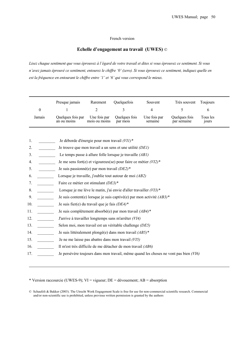# French version

# **Echelle d'engagement au travail (UWES)** ©

*Lisez chaque sentiment que vous éprouvez à l'égard de votre travail et dites si vous éprouvez ce sentiment. Si vous n'avez jamais éprouvé ce sentiment, entourez le chiffre '0' (zero). Si vous éprouvez ce sentiment, indiquez quelle en est la fréquence en entourant le chiffre entre '1' et '6' qui vous correspond le mieux.* 

|                  | Presque jamais                                                     | Rarement                      | Quelquefois                                                              | Souvent                 | Très souvent                                                                         | Toujours          |  |
|------------------|--------------------------------------------------------------------|-------------------------------|--------------------------------------------------------------------------|-------------------------|--------------------------------------------------------------------------------------|-------------------|--|
| $\boldsymbol{0}$ |                                                                    | $\overline{c}$                | 3                                                                        | 4                       | 5                                                                                    | 6                 |  |
| Jamais           | Quelques fois par<br>an ou moins                                   | Une fois par<br>mois ou moins | Quelques fois<br>par mois                                                | Une fois par<br>semaine | Quelques fois<br>par semaine                                                         | Tous les<br>jours |  |
|                  |                                                                    |                               |                                                                          |                         |                                                                                      |                   |  |
| 1.               | Je déborde d'énergie pour mon travail (VII)*                       |                               |                                                                          |                         |                                                                                      |                   |  |
| 2.               |                                                                    |                               | Je trouve que mon travail a un sens et une utilité (DE1)                 |                         |                                                                                      |                   |  |
| 3.               |                                                                    |                               | Le temps passe à allure folle lorsque je travaille $(ABI)$               |                         |                                                                                      |                   |  |
| 4.               | Je me sens fort(e) et vigoureux(se) pour faire ce métier $(VI2)^*$ |                               |                                                                          |                         |                                                                                      |                   |  |
| 5.               | Je suis passionné(e) par mon travail $(DE2)^*$                     |                               |                                                                          |                         |                                                                                      |                   |  |
| 6.               |                                                                    |                               | Lorsque je travaille, j'oublie tout autour de moi (AB2)                  |                         |                                                                                      |                   |  |
| 7.               | Faire ce métier est stimulant (DE3)*                               |                               |                                                                          |                         |                                                                                      |                   |  |
| 8.               |                                                                    |                               | Lorsque je me lève le matin, j'ai envie d'aller travailler $(VI3)^*$     |                         |                                                                                      |                   |  |
| 9.               |                                                                    |                               | Je suis content(e) lorsque je suis captivé(e) par mon activité $(AB3)^*$ |                         |                                                                                      |                   |  |
| 10.              | Je suis fier(e) du travail que je fais $(DE4)^*$                   |                               |                                                                          |                         |                                                                                      |                   |  |
| 11.              |                                                                    |                               | Je suis complètement absorbé(e) par mon travail (AB4)*                   |                         |                                                                                      |                   |  |
| 12.              |                                                                    |                               | J'arrive à travailler longtemps sans m'arrêter (VI4)                     |                         |                                                                                      |                   |  |
| 13.              |                                                                    |                               | Selon moi, mon travail est un véritable challenge (DE5)                  |                         |                                                                                      |                   |  |
| 14.              |                                                                    |                               | Je suis littéralement plongé(e) dans mon travail $(AB5)^*$               |                         |                                                                                      |                   |  |
| 15.              |                                                                    |                               | Je ne me laisse pas abattre dans mon travail (VI5)                       |                         |                                                                                      |                   |  |
| 16.              |                                                                    |                               | Il m'est très difficile de me détacher de mon travail (AB6)              |                         |                                                                                      |                   |  |
| 17.              |                                                                    |                               |                                                                          |                         | Je persévère toujours dans mon travail, même quand les choses ne vont pas bien (VI6) |                   |  |

\* Version raccourcie (UWES-9); VI = vigueur; DE = dévouement; AB = absorption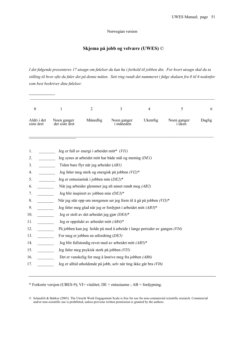Norwegian version

# **Skjema på jobb og velvære (UWES)** ©

*I det følgende presenteres 17 utsagn om følelser du kan ha i forhold til jobben din. For hvert utsagn skal du ta stilling til hvor ofte du føler det på denne måten. Sett ring rundt det nummeret i følge skalaen fra 0 til 6 nedenfor som best beskriver dine følelser.*

| $\boldsymbol{0}$          | $\mathbf{1}$                  | $\overline{2}$                                  | 3                                                                         | $\overline{4}$ | 5                            | 6      |
|---------------------------|-------------------------------|-------------------------------------------------|---------------------------------------------------------------------------|----------------|------------------------------|--------|
| Aldri i det<br>siste året | Noen ganger<br>det siste året | Månedlig                                        | Noen ganger<br>i måneden                                                  | Ukentlig       | Noen ganger<br><i>i</i> uken | Daglig |
| 1.                        |                               | Jeg er full av energi i arbeidet mitt* (VII)    |                                                                           |                |                              |        |
| 2.                        |                               |                                                 | Jeg synes at arbeidet mitt har både mål og mening (DE1)                   |                |                              |        |
| 3.                        |                               | Tiden bare flyr når jeg arbeider (AB1)          |                                                                           |                |                              |        |
| 4.                        |                               |                                                 | Jeg føler meg sterk og energisk på jobben (VI2)*                          |                |                              |        |
| 5.                        |                               | Jeg er entusiastisk i jobben min (DE2)*         |                                                                           |                |                              |        |
| 6.                        |                               |                                                 | Når jeg arbeider glemmer jeg alt annet rundt meg (AB2)                    |                |                              |        |
| 7.                        |                               | Jeg blir inspirert av jobben min (DE3)*         |                                                                           |                |                              |        |
| 8.                        |                               |                                                 | Når jeg står opp om morgenen ser jeg frem til å gå på jobben (VI3)*       |                |                              |        |
| 9.                        |                               |                                                 | Jeg føler meg glad når jeg er fordypet i arbeidet mitt (AB3)*             |                |                              |        |
| 10.                       |                               | Jeg er stolt av det arbeidet jeg gjør $(DE4)^*$ |                                                                           |                |                              |        |
| 11.                       |                               | Jeg er oppslukt av arbeidet mitt $(AB4)^*$      |                                                                           |                |                              |        |
| 12.                       |                               |                                                 | På jobben kan jeg holde på med å arbeide i lange perioder av gangen (VI4) |                |                              |        |
| 13.                       |                               | For meg er jobben en utfordring (DE5)           |                                                                           |                |                              |        |
| 14.                       |                               |                                                 | Jeg blir fullstendig revet med av arbeidet mitt (AB5)*                    |                |                              |        |
| 15.                       |                               | Jeg føler meg psykisk sterk på jobben (VI5)     |                                                                           |                |                              |        |
| 16.                       |                               |                                                 | Det er vanskelig for meg å løsrive meg fra jobben (AB6)                   |                |                              |        |
| 17.                       |                               |                                                 | Jeg er alltid utholdende på jobb, selv når ting ikke går bra (VI6)        |                |                              |        |

\* Forkorte versjon (UBES-9); VI= vitalitet; DE = entusiasme ; AB = fordypning.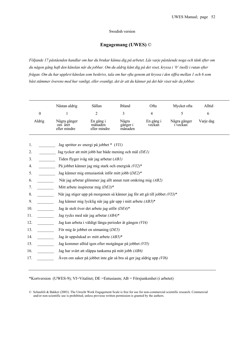#### Swedish version

# **Engagemang (UWES)** ©

*Följande 17 påståenden handlar om hur du brukar känna dig på arbetet. Läs varje påstående noga och tänk efter om du någon gång haft den känslan när du jobbar. Om du aldrig känt dig på det viset, kryssa i '0' (noll) i rutan efter frågan. Om du har upplevt känslan som beskrivs, tala om hur ofta genom att kryssa i den siffra mellan 1 och 6 som bäst stämmer överens med hur vanligt, eller ovanligt, det är att du känner på det här viset när du jobbar.* 

|        | Nästan aldrig                           | Sällan                               | Ibland                       | Ofta                | Mycket ofta              | Alltid    |
|--------|-----------------------------------------|--------------------------------------|------------------------------|---------------------|--------------------------|-----------|
| 0      |                                         |                                      |                              | 4                   |                          |           |
| Aldrig | Några gånger<br>om året<br>eller mindre | En gång i<br>månaden<br>eller mindre | Några<br>gånger i<br>månaden | En gång i<br>veckan | Några gånger<br>ı veckan | Varje dag |

| 1.  | Jag spritter av energi på jobbet * (VII)                                   |
|-----|----------------------------------------------------------------------------|
| 2.  | Jag tycker att mitt jobb har både mening och mål (DE1)                     |
| 3.  | Tiden flyger iväg när jag arbetar (AB1)                                    |
| 4.  | På jobbet känner jag mig stark och energisk (VI2)*                         |
| 5.  | Jag känner mig entusiastisk inför mitt jobb (DE2)*                         |
| 6.  | När jag arbetar glömmer jag allt annat runt omkring mig (AB2)              |
| 7.  | Mitt arbete inspirerar mig $(DE3)*$                                        |
| 8.  | När jag stiger upp på morgonen så känner jag för att gå till jobbet (VI3)* |
| 9.  | Jag känner mig lycklig när jag går upp i mitt arbete (AB3)*                |
| 10. | Jag är stolt över det arbete jag utför $(DE4)^*$                           |
| 11. | Jag rycks med när jag arbetar $(AB4)^*$                                    |
| 12. | Jag kan arbeta i väldigt långa perioder åt gången (VI4)                    |
| 13. | För mig är jobbet en utmaning (DE5)                                        |
| 14. | Jag är uppslukad av mitt arbete $(AB5)^*$                                  |
| 15. | Jag kommer alltid igen efter motgångar på jobbet (VI5)                     |
| 16. | Jag har svårt att släppa tankarna på mitt jobb (AB6)                       |
| 17. | Även om saker på jobbet inte går så bra så ger jag aldrig upp $(VI6)$      |
|     |                                                                            |

\*Kortversion (UWES-9); VI=Vitalitet; DE =Entusiasm; AB = Försjunkenhet (i arbetet)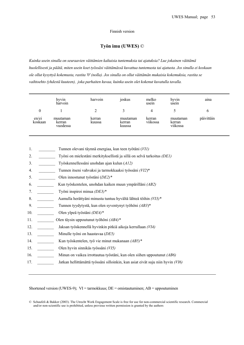#### Finnish version

# **Työn imu (UWES)** ©

*Kuinka usein sinulla on seuraavien väittämien kaltaisia tuntemuksia tai ajatuksia? Lue jokainen väittämä huolellisesti ja päätä, miten usein koet työssäsi väittämässä kuvattua tuntemusta tai ajatusta. Jos sinulla ei koskaan ole ollut kysyttyä kokemusta, rastita '0' (nolla). Jos sinulla on ollut väittämän mukaisia kokemuksia, rastita se vaihtoehto (yhdestä kuuteen), joka parhaiten kuvaa, kuinka usein olet kokenut kuvatulla tavalla.* 

|                  | hyvin<br>harvoin               | harvoin          | joskus                       | melko<br>usein     | hyvin<br>usein                 | $\bullet$<br>aina |
|------------------|--------------------------------|------------------|------------------------------|--------------------|--------------------------------|-------------------|
| 0                |                                |                  |                              | 4                  |                                |                   |
| en/ei<br>koskaan | muutaman<br>kerran<br>vuodessa | kerran<br>kuussa | muutaman<br>kerran<br>kuussa | kerran<br>viikossa | muutaman<br>kerran<br>viikossa | päivittäin        |

| 1.  | Tunnen olevani täynnä energiaa, kun teen työtäni (VII)                          |
|-----|---------------------------------------------------------------------------------|
| 2.  | Työni on mielestäni merkityksellistä ja sillä on selvä tarkoitus (DE1)          |
| 3.  | Työskennellessäni unohdan ajan kulun (A12)                                      |
| 4.  | Tunnen itseni vahvaksi ja tarmokkaaksi työssäni (VI2)*                          |
| 5.  | Olen innostunut työstäni $(DE2)^*$                                              |
| 6.  | Kun työskentelen, unohdan kaiken muun ympärilläni (AB2)                         |
| 7.  | Työni inspiroi minua (DE3)*                                                     |
| 8.  | Aamulla herättyäni minusta tuntuu hyvältä lähteä töihin (VI3)*                  |
| 9.  | Tunnen tyydytystä, kun olen syventynyt työhöni (AB3)*                           |
| 10. | Olen ylpeä työstäni (DE4)*                                                      |
| 11. | Olen täysin uppoutunut työhöni $(AB4)^*$                                        |
| 12. | Jaksan työskennellä hyvinkin pitkiä aikoja kerrallaan (VI4)                     |
| 13. | Minulle työni on haastavaa (DE5)                                                |
| 14. | Kun työskentelen, työ vie minut mukanaan $(AB5)^*$                              |
| 15. | Olen hyvin sinnikäs työssäni (VI5)                                              |
| 16. | Minun on vaikea irrottautua työstäni, kun olen siihen uppoutunut (AB6)          |
| 17. | Jatkan hellittämättä työssäni silloinkin, kun asiat eivät suju niin hyvin (VI6) |
|     |                                                                                 |

Shortened version (UWES-9); VI = tarmokkuus; DE = omistautuminen; AB = uppoutuminen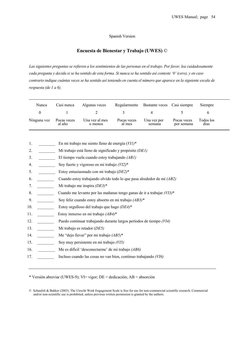#### Spanish Version

# **Encuesta de Bienestar y Trabajo (UWES)** ©

*Las siguientes preguntas se refieren a los sentimientos de las personas en el trabajo. Por favor, lea cuidadosamente cada pregunta y decida si se ha sentido de esta forma. Si nunca se ha sentido así conteste '0' (cero), y en caso contrario indique cuántas veces se ha sentido así teniendo en cuenta el número que aparece en la siguiente escala de respuesta (de 1 a 6).* 

| Nunca       | Casi nunca            | Algunas veces             | Regularmente          | Bastante veces Casi siempre |                           | Siempre           |
|-------------|-----------------------|---------------------------|-----------------------|-----------------------------|---------------------------|-------------------|
|             |                       |                           |                       | $\Delta$                    |                           |                   |
| Ninguna vez | Pocas veces<br>al año | Una vez al mes<br>o menos | Pocas veces<br>al mes | Una vez por<br>semana       | Pocas veces<br>por semana | Todos los<br>días |

|  |  | En mi trabajo me siento lleno de energía $(VII)^*$ |
|--|--|----------------------------------------------------|
|--|--|----------------------------------------------------|

- 2. \_\_\_\_\_\_\_\_ Mi trabajo está lleno de significado y propósito *(DE1)*
- 3. \_\_\_\_\_\_\_\_ El tiempo vuela cuando estoy trabajando *(AB1)*
- 4. \_\_\_\_\_\_\_\_ Soy fuerte y vigoroso en mi trabajo *(VI2)*\*
- 5. \_\_\_\_\_\_\_\_ Estoy entusiasmado con mi trabajo (*DE2)*\*
- 6. \_\_\_\_\_\_\_\_ Cuando estoy trabajando olvido todo lo que pasa alrededor de mí *(AB2)*
- 7. \_\_\_\_\_\_\_\_ Mi trabajo me inspira *(DE3)*\*
- 8. \_\_\_\_\_\_\_\_ Cuando me levanto por las mañanas tengo ganas de ir a trabajar *(VI3)*\*
- 9. \_\_\_\_\_\_\_\_ Soy feliz cuando estoy absorto en mi trabajo *(AB3)\**
- 10. \_\_\_\_\_\_\_\_ Estoy orgulloso del trabajo que hago *(DE4)*\*
- 11. \_\_\_\_\_\_\_\_ Estoy inmerso en mi trabajo *(AB4)*\*
- 12. \_\_\_\_\_\_\_\_ Puedo continuar trabajando durante largos períodos de tiempo *(VI4)*
- 13. \_\_\_\_\_\_\_\_ Mi trabajo es retador (*DE5)*
- 14. \_\_\_\_\_\_\_\_ Me "dejo llevar" por mi trabajo *(AB5)*\*
- 15. \_\_\_\_\_\_\_\_ Soy muy persistente en mi trabajo *(VI5)*
- 16. \_\_\_\_\_\_\_\_ Me es difícil 'desconectarme' de mi trabajo *(AB6)*
- 17. \_\_\_\_\_\_\_\_ Incluso cuando las cosas no van bien, continuo trabajando *(VI6)*

\* Versión abreviar (UWES-9); VI= vigor; DE = dedicación; AB = absorción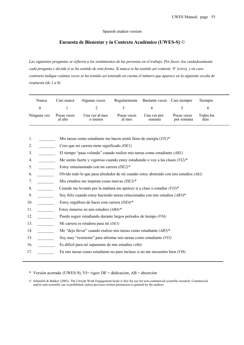#### Spanish student version

# **Encuesta de Bienestar y in Contexto Académico (UWES-S)** ©

*Las siguientes preguntas se refieren a los sentimientos de las personas en el trabajo. Por favor, lea cuidadosamente cada pregunta y decida si se ha sentido de esta forma. Si nunca se ha sentido así conteste '0' (cero), y en caso contrario indique cuántas veces se ha sentido así teniendo en cuenta el número que aparece en la siguiente escala de respuesta (de 1 a 6).* 

| Nunca            | Casi nunca                                                                              | Algunas veces                                                                  | Regularmente          | <b>Bastante</b> veces | Casi siempre              | Siempre           |  |
|------------------|-----------------------------------------------------------------------------------------|--------------------------------------------------------------------------------|-----------------------|-----------------------|---------------------------|-------------------|--|
| $\boldsymbol{0}$ | 1                                                                                       | $\overline{2}$                                                                 | 3                     | $\overline{4}$        | 5                         | 6                 |  |
| Ninguna vez      | Pocas veces<br>al año                                                                   | Una vez al mes<br>o menos                                                      | Pocas veces<br>al mes | Una vez por<br>semana | Pocas veces<br>por semana | Todos los<br>días |  |
|                  |                                                                                         |                                                                                |                       |                       |                           |                   |  |
| 1.               |                                                                                         | Mis tareas como estudiante me hacen sentir lleno de energía $(VII)^*$          |                       |                       |                           |                   |  |
| 2.               | Creo que mi carrera tiene significado (DE1)                                             |                                                                                |                       |                       |                           |                   |  |
| 3.               | El tiempo "pasa volando" cuando realizo mis tareas como estudiante $(AB1)$              |                                                                                |                       |                       |                           |                   |  |
| 4.               | Me siento fuerte y vigoroso cuando estoy estudiando o voy a las clases $(VI2)^*$        |                                                                                |                       |                       |                           |                   |  |
| 5.               | Estoy entusiasmado con mi carrera (DE2)*                                                |                                                                                |                       |                       |                           |                   |  |
| 6.               | Olvido todo lo que pasa alrededor de mí cuando estoy abstraído con mis estudios $(AB2)$ |                                                                                |                       |                       |                           |                   |  |
| 7.               |                                                                                         | Mis estudios me inspiran cosas nuevas $(DE3)^*$                                |                       |                       |                           |                   |  |
| 8.               |                                                                                         | Cuando me levanto por la mañana me apetece ir a clase o estudiar $(VI3)^*$     |                       |                       |                           |                   |  |
| 9.               |                                                                                         | Soy feliz cuando estoy haciendo tareas relacionadas con mis estudios $(AB3)^*$ |                       |                       |                           |                   |  |
| 10.              |                                                                                         | Estoy orgulloso de hacer esta carrera (DE4)*                                   |                       |                       |                           |                   |  |
| 11.              |                                                                                         | Estoy inmerso en mis estudios $(AB4)^*$                                        |                       |                       |                           |                   |  |
| 12.              |                                                                                         | Puedo seguir estudiando durante largos períodos de tiempo (VI4)                |                       |                       |                           |                   |  |
| 13.              |                                                                                         | Mi carrera es retadora para mí (DE5)                                           |                       |                       |                           |                   |  |
| 14.              |                                                                                         | Me "dejo llevar" cuando realizo mis tareas como estudiante $(AB5)^*$           |                       |                       |                           |                   |  |
| 15.              |                                                                                         | Soy muy "resistente" para afrontar mis tareas como estudiante (VI5)            |                       |                       |                           |                   |  |
| 16.              | Es difícil para mí separarme de mis estudios (AB6)                                      |                                                                                |                       |                       |                           |                   |  |
| 17.              |                                                                                         | En mis tareas como estudiante no paro incluso si no me encuentro bien $(VI6)$  |                       |                       |                           |                   |  |

\* Versión acortada (UWES-9); VI= vigor; DE = dédicacíon; AB = absorcíon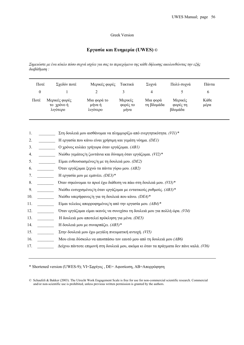#### Greek Version

# **Εργασία και Ευηµερία (UWES)** *©*

Σημειώστε με ένα κύκλο πόσο συχνά ισχύει για σας το περιεχόμενο της κάθε δήλωσης ακολουθώντας την εξής *διαβάθµιση :* 

| Ποτέ | Σγεδόν ποτέ                             | Μερικές φορές                     | Τακτικά                     | Συγνά                  | Πολύ συχνά                     | Πάντα        |
|------|-----------------------------------------|-----------------------------------|-----------------------------|------------------------|--------------------------------|--------------|
|      |                                         |                                   |                             | 4                      |                                | b            |
| Ποτέ | Μερικές φορές<br>το χρόνο ή<br>λιγότερο | Μια φορά το<br>μήνα ή<br>λιγότερο | Μερικές<br>φορές το<br>μήνα | Μια φορά<br>τη βδομάδα | Μερικές<br>φορές τη<br>βδομάδα | Κάθε<br>μέρα |

- 1. \_\_\_\_\_\_\_\_ Στη δουλειά µου αισθάνοµαι να πληµµυρίζω από ενεργητικότητα. *(VI1)\**
- 2. \_\_\_\_\_\_\_\_ H εργασία που κάνω είναι χρήσιµη και γεµάτη νόηµα. *(DE1)*
- 3. \_\_\_\_\_\_\_\_ Ο χρόνος κυλάει γρήγορα όταν εργάζοµαι. *(AB1)*
- 4. \_\_\_\_\_\_\_\_ Νιώθω γεµάτος/η ζωντάνια και δύναµη όταν εργάζοµαι. *(VI2)\**
- 5. \_\_\_\_\_\_\_\_ Είµαι ενθουσιασµένος/η µε τη δουλειά µου. *(DE2)*
- 6. \_\_\_\_\_\_\_\_ Όταν εργάζοµαι ξεχνώ τα πάντα γύρω µου*. (AB2)*
- 7. \_\_\_\_\_\_\_\_ Η εργασία µου µε εµπνέει. *(DE3)\**
- 8. \_\_\_\_\_\_\_\_ Όταν σηκώνοµαι το πρωί έχω διάθεση να πάω στη δουλειά µου. *(VI3)\**
- 9. \_\_\_\_\_\_\_\_ Νιώθω ευτυχισµένος/η όταν εργάζοµαι µε εντατικούς ρυθµούς. *(AB3)\**
- 10. \_\_\_\_\_\_\_\_ Νιώθω υπερήφανος/η για τη δουλειά που κάνω. *(DE4)\**
- 11. \_\_\_\_\_\_\_\_ Είµαι τελείως απορροφηµένος/η από την εργασία µου. *(AB4)\**
- 12. \_\_\_\_\_\_\_\_ Όταν εργάζοµαι είµαι ικανός να συνεχίσω τη δουλειά µου για πολλή ώρα. *(VI4)*
- 13. \_\_\_\_\_\_\_\_ Η δουλειά µου αποτελεί πρόκληση για µένα. *(DE5)*
- 14. \_\_\_\_\_\_\_\_ Η δουλειά µου µε συναρπάζει. *(AB5)\**
- 15. \_\_\_\_\_\_\_\_ Στην δουλειά µου έχω µεγάλη πνευµατική αντοχή. *(VI5)*
- 16. \_\_\_\_\_\_\_\_ Μου είναι δύσκολο να αποσπάσω τον εαυτό µου από τη δουλειά µου *(AB6)*
- 17. \_\_\_\_\_\_\_\_ ∆είχνω πάντοτε επιµονή στη δουλειά µου, ακόµα κι όταν τα πράγµατα δεν πάνε καλά. *(VI6)*

\* Shortened version (UWES-9); VI=Σφρίγος , DE= Αφοσίωση, AB=Απορρόφηση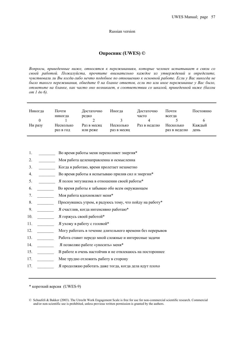#### Russian version

# **Опросник (UWES) ©**

*Вопросы, приведенные ниже, относятся к переживаниям, которые человек испытывает в связи со своей работой. Пожалуйста, прочтите внимательно каждое из утверждений и определите,*  чувствовали ли Вы когда-либо нечто подобное по отношению к основной работе. Если у Вас никогда не было такого переживания, обведите 0 на бланке ответов, если то или иное переживание у Вас было, *отметьте на бланке, как часто оно возникает, в соответствии со шкалой, приведенной ниже (баллы от 1 до 6).* 

| Никогда | Почти<br>никогда       | Достаточно<br>редко     | Иногла                   | Достаточно<br>часто | Почти<br>всегда           | Постоянно      |
|---------|------------------------|-------------------------|--------------------------|---------------------|---------------------------|----------------|
| 0       |                        |                         |                          | 4                   |                           | b              |
| Ни разу | Несколько<br>раз в год | Раз в месяц<br>или реже | Несколько<br>раз в месяц | Раз в неделю        | Несколько<br>раз в неделю | Кажлый<br>день |

| 1.  | Во время работы меня переполняет энергия*                 |
|-----|-----------------------------------------------------------|
| 2.  | Моя работа целенаправленна и осмысленна                   |
| 3.  | Когда я работаю, время пролетает незаметно                |
| 4.  | Во время работы я испытываю прилив сил и энергии*         |
| 5.  | Я полон энтузиазма в отношении своей работы*              |
| 6.  | Во время работы я забываю обо всем окружающем             |
| 7.  | Моя работа вдохновляет меня*                              |
| 8.  | Проснувшись утром, я радуюсь тому, что пойду на работу*   |
| 9.  | Я счастлив, когда интенсивно работаю*                     |
| 10. | Я горжусь своей работой*                                  |
| 11. | Я ухожу в работу с головой*                               |
| 12. | Могу работать в течение длительного времени без перерывов |
| 13. | Работа ставит передо мной сложные и интересные задачи     |
| 14. | Я позволяю работе «уносить» меня*                         |
| 15. | В работе я очень настойчив и не отвлекаюсь на постороннее |
| 17. | Мне трудно отложить работу в сторону                      |
| 17. | Я продолжаю работать даже тогда, когда дела идут плохо    |
|     |                                                           |

\* короткий версия (UWES-9)